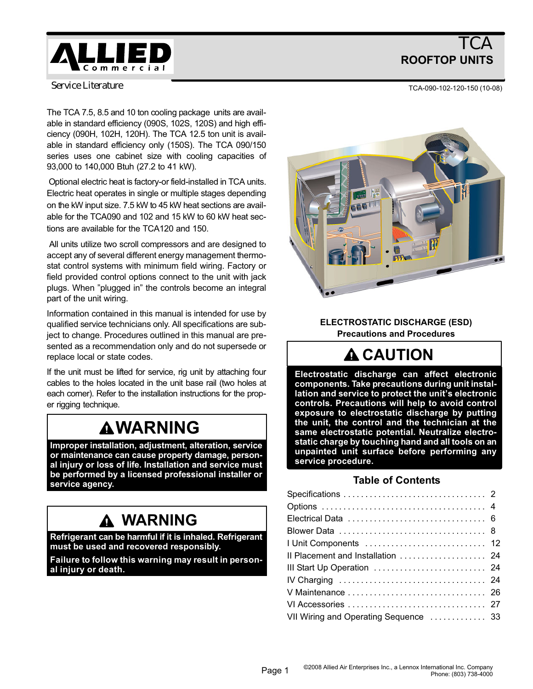

# **TCA** ROOFTOP UNITS

*Service Literature*

The TCA 7.5, 8.5 and 10 ton cooling package units are available in standard efficiency (090S, 102S, 120S) and high efficiency (090H, 102H, 120H). The TCA 12.5 ton unit is available in standard efficiency only (150S). The TCA 090/150 series uses one cabinet size with cooling capacities of 93,000 to 140,000 Btuh (27.2 to 41 kW).

 Optional electric heat is factory−or field−installed in TCA units. Electric heat operates in single or multiple stages depending on the kW input size. 7.5 kW to 45 kW heat sections are available for the TCA090 and 102 and 15 kW to 60 kW heat sections are available for the TCA120 and 150.

 All units utilize two scroll compressors and are designed to accept any of several different energy management thermostat control systems with minimum field wiring. Factory or field provided control options connect to the unit with jack plugs. When "plugged in" the controls become an integral part of the unit wiring.

Information contained in this manual is intended for use by qualified service technicians only. All specifications are subject to change. Procedures outlined in this manual are presented as a recommendation only and do not supersede or replace local or state codes.

If the unit must be lifted for service, rig unit by attaching four cables to the holes located in the unit base rail (two holes at each corner). Refer to the installation instructions for the proper rigging technique.

# **AWARNING**

Improper installation, adjustment, alteration, service or maintenance can cause property damage, personal injury or loss of life. Installation and service must be performed by a licensed professional installer or service agency.

# WARNING

Refrigerant can be harmful if it is inhaled. Refrigerant must be used and recovered responsibly.

Failure to follow this warning may result in personal injury or death.



ELECTROSTATIC DISCHARGE (ESD) Precautions and Procedures

# **A CAUTION**

Electrostatic discharge can affect electronic components. Take precautions during unit installation and service to protect the unit's electronic controls. Precautions will help to avoid control exposure to electrostatic discharge by putting the unit, the control and the technician at the same electrostatic potential. Neutralize electrostatic charge by touching hand and all tools on an unpainted unit surface before performing any service procedure.

## Table of Contents

| Il Placement and Installation  24     |  |
|---------------------------------------|--|
|                                       |  |
|                                       |  |
|                                       |  |
|                                       |  |
| VII Wiring and Operating Sequence  33 |  |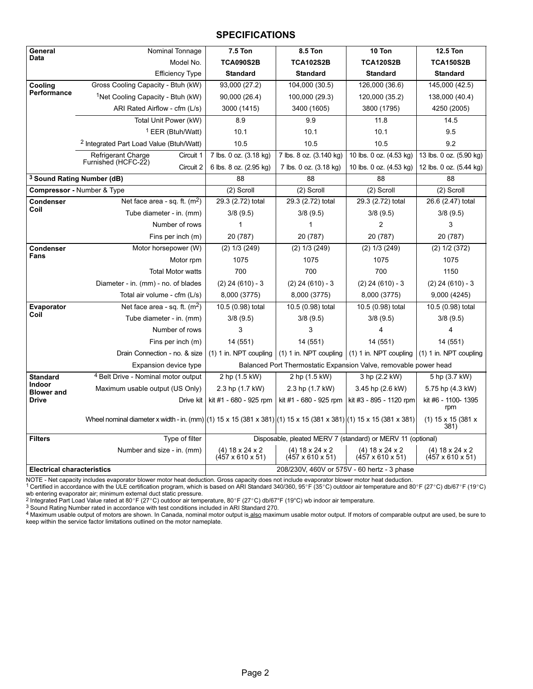#### **SPECIFICATIONS**

| General                           | Nominal Tonnage                                                                                                   | <b>7.5 Ton</b>                        | 8.5 Ton                               | 10 Ton                                                           | <b>12.5 Ton</b>                                   |
|-----------------------------------|-------------------------------------------------------------------------------------------------------------------|---------------------------------------|---------------------------------------|------------------------------------------------------------------|---------------------------------------------------|
| Data                              | Model No.                                                                                                         | <b>TCA090S2B</b>                      | <b>TCA102S2B</b>                      | <b>TCA120S2B</b>                                                 | <b>TCA150S2B</b>                                  |
|                                   | <b>Efficiency Type</b>                                                                                            | <b>Standard</b>                       | <b>Standard</b>                       | <b>Standard</b>                                                  | <b>Standard</b>                                   |
| Cooling                           | Gross Cooling Capacity - Btuh (kW)                                                                                | 93,000 (27.2)                         | 104,000 (30.5)                        | 126,000 (36.6)                                                   | 145,000 (42.5)                                    |
| Performance                       | <sup>1</sup> Net Cooling Capacity - Btuh (kW)                                                                     | 90,000 (26.4)                         | 100,000 (29.3)                        | 120,000 (35.2)                                                   | 138,000 (40.4)                                    |
|                                   | ARI Rated Airflow - cfm (L/s)                                                                                     | 3000 (1415)                           | 3400 (1605)                           | 3800 (1795)                                                      | 4250 (2005)                                       |
|                                   | Total Unit Power (kW)                                                                                             | 8.9                                   | 9.9                                   | 11.8                                                             | 14.5                                              |
|                                   | <sup>1</sup> EER (Btuh/Watt)                                                                                      | 10.1                                  | 10.1                                  | 10.1                                                             | 9.5                                               |
|                                   | <sup>2</sup> Integrated Part Load Value (Btuh/Watt)                                                               | 10.5                                  | 10.5                                  | 10.5                                                             | 9.2                                               |
|                                   | Circuit 1<br>Refrigerant Charge                                                                                   | 7 lbs. 0 oz. (3.18 kg)                | 7 lbs. 8 oz. (3.140 kg)               | 10 lbs. 0 oz. (4.53 kg)                                          | 13 lbs. 0 oz. (5.90 kg)                           |
|                                   | Furnished (HCFC-22)<br>Circuit 2                                                                                  | 6 lbs. 8 oz. (2.95 kg)                | 7 lbs. 0 oz. (3.18 kg)                | 10 lbs. 0 oz. (4.53 kg)                                          | 12 lbs. 0 oz. (5.44 kg)                           |
|                                   | <sup>3</sup> Sound Rating Number (dB)                                                                             | 88                                    | 88                                    | 88                                                               | 88                                                |
|                                   | <b>Compressor</b> - Number & Type                                                                                 | (2) Scroll                            | (2) Scroll                            | (2) Scroll                                                       | (2) Scroll                                        |
| Condenser                         | Net face area - sq. ft. $(m^2)$                                                                                   | 29.3 (2.72) total                     | 29.3 (2.72) total                     | 29.3 (2.72) total                                                | 26.6 (2.47) total                                 |
| Coil                              | Tube diameter - in. (mm)                                                                                          | 3/8(9.5)                              | 3/8(9.5)                              | 3/8(9.5)                                                         | 3/8(9.5)                                          |
|                                   | Number of rows                                                                                                    | 1                                     | 1                                     | $\overline{2}$                                                   | 3                                                 |
|                                   | Fins per inch (m)                                                                                                 | 20 (787)                              | 20 (787)                              | 20 (787)                                                         | 20 (787)                                          |
| <b>Condenser</b>                  | Motor horsepower (W)                                                                                              | $(2)$ 1/3 $(249)$                     | $(2)$ 1/3 $(249)$                     | $(2)$ 1/3 $(249)$                                                | $(2)$ 1/2 $(372)$                                 |
| Fans                              | Motor rpm                                                                                                         | 1075                                  | 1075                                  | 1075                                                             | 1075                                              |
|                                   | <b>Total Motor watts</b>                                                                                          | 700                                   | 700                                   | 700                                                              | 1150                                              |
|                                   | Diameter - in. (mm) - no. of blades                                                                               | $(2)$ 24 $(610)$ - 3                  | $(2)$ 24 $(610) - 3$                  | $(2)$ 24 $(610) - 3$                                             | $(2)$ 24 $(610)$ - 3                              |
|                                   | Total air volume - cfm (L/s)                                                                                      | 8,000 (3775)                          | 8,000 (3775)                          | 8,000 (3775)                                                     | 9,000 (4245)                                      |
| Evaporator                        | Net face area - sq. ft. $(m^2)$                                                                                   | 10.5 (0.98) total                     | 10.5 (0.98) total                     | 10.5 (0.98) total                                                | 10.5 (0.98) total                                 |
| Coil                              | Tube diameter - in. (mm)                                                                                          | 3/8(9.5)                              | 3/8(9.5)                              | 3/8(9.5)                                                         | 3/8(9.5)                                          |
|                                   | Number of rows                                                                                                    | 3                                     | 3                                     | 4                                                                | $\overline{4}$                                    |
|                                   | Fins per inch (m)                                                                                                 | 14 (551)                              | 14 (551)                              | 14 (551)                                                         | 14 (551)                                          |
|                                   | Drain Connection - no. & size                                                                                     | $(1)$ 1 in. NPT coupling              | $(1)$ 1 in. NPT coupling              | $(1)$ 1 in. NPT coupling $(1)$ 1 in. NPT coupling                |                                                   |
|                                   | Expansion device type                                                                                             |                                       |                                       | Balanced Port Thermostatic Expansion Valve, removable power head |                                                   |
| <b>Standard</b>                   | <sup>4</sup> Belt Drive - Nominal motor output                                                                    | 2 hp (1.5 kW)                         | 2 hp (1.5 kW)                         | 3 hp (2.2 kW)                                                    | 5 hp (3.7 kW)                                     |
| Indoor<br><b>Blower and</b>       | Maximum usable output (US Only)                                                                                   | 2.3 hp (1.7 kW)                       | 2.3 hp (1.7 kW)                       | 3.45 hp (2.6 kW)                                                 | 5.75 hp (4.3 kW)                                  |
| <b>Drive</b>                      | Drive kit                                                                                                         | kit #1 - 680 - 925 rpm                | kit #1 - 680 - 925 rpm                | kit #3 - 895 - 1120 rpm                                          | kit #6 - 1100- 1395<br>rpm                        |
|                                   | Wheel nominal diameter x width - in. (mm) (1) 15 x 15 (381 x 381) (1) 15 x 15 (381 x 381) (1) 15 x 15 (381 x 381) |                                       |                                       |                                                                  | (1) 15 x 15 (381 x<br>381)                        |
| <b>Filters</b>                    | Type of filter                                                                                                    |                                       |                                       | Disposable, pleated MERV 7 (standard) or MERV 11 (optional)      |                                                   |
|                                   | Number and size - in. (mm)                                                                                        | $(4)$ 18 x 24 x 2<br>(457 x 610 x 51) | $(4)$ 18 x 24 x 2<br>(457 x 610 x 51) | $(4)$ 18 x 24 x 2<br>$(457 \times 610 \times 51)$                | $(4)$ 18 x 24 x 2<br>$(457 \times 610 \times 51)$ |
| <b>Electrical characteristics</b> |                                                                                                                   |                                       |                                       | 208/230V, 460V or 575V - 60 hertz - 3 phase                      |                                                   |

NOTE - Net capacity includes evaporator blower motor heat deduction. Gross capacity does not include evaporator blower motor heat deduction.<br><sup>1</sup> Certified in accordance with the ULE certification program, which is based o wb entering evaporator air; minimum external duct static pressure.<br><sup>2</sup> Integrated Part Load Value rated at 80°F (27°C) outdoor air temperature, 80°F (27°C) db/67°F (19°C) wb indoor air temperature.<br><sup>3</sup> Sound Rating Number

4 Maximum usable output of motors are shown. In Canada, nominal motor output is also maximum usable motor output. If motors of comparable output are used, be sure to keep within the service factor limitations outlined on the motor nameplate.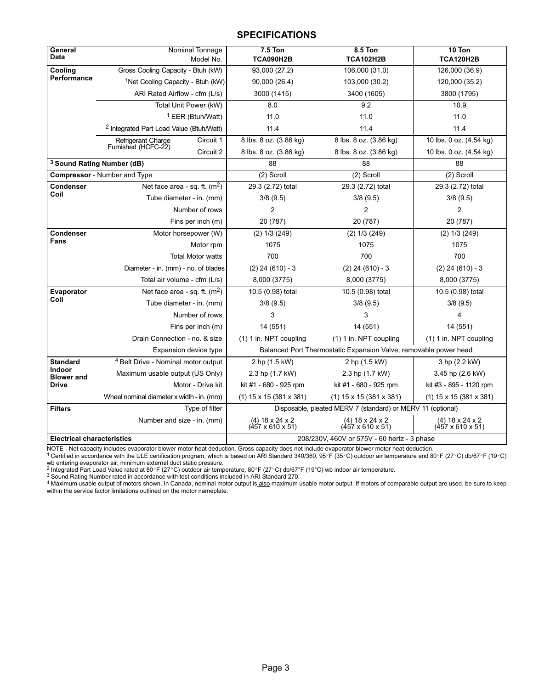#### **SPECIFICATIONS**

| General<br><b>Data</b>            | Nominal Tonnage<br>Model No.                        | <b>7.5 Ton</b><br><b>TCA090H2B</b>                          | 8.5 Ton<br><b>TCA102H2B</b>                                      | 10 Ton<br><b>TCA120H2B</b>                        |  |  |  |  |
|-----------------------------------|-----------------------------------------------------|-------------------------------------------------------------|------------------------------------------------------------------|---------------------------------------------------|--|--|--|--|
| Cooling                           | Gross Cooling Capacity - Btuh (kW)                  | 93,000 (27.2)                                               | 106,000 (31.0)                                                   | 126,000 (36.9)                                    |  |  |  |  |
| <b>Performance</b>                | <sup>1</sup> Net Cooling Capacity - Btuh (kW)       | 90,000 (26.4)                                               | 103,000 (30.2)                                                   | 120,000 (35.2)                                    |  |  |  |  |
|                                   | ARI Rated Airflow - cfm (L/s)                       | 3000 (1415)                                                 | 3400 (1605)                                                      | 3800 (1795)                                       |  |  |  |  |
|                                   | Total Unit Power (kW)                               | 8.0                                                         | 9.2                                                              | 10.9                                              |  |  |  |  |
|                                   | <sup>1</sup> EER (Btuh/Watt)                        | 11.0                                                        | 11.0                                                             | 11.0                                              |  |  |  |  |
|                                   | <sup>2</sup> Integrated Part Load Value (Btuh/Watt) | 11.4                                                        | 11.4                                                             | 11.4                                              |  |  |  |  |
|                                   | Circuit 1<br>Refrigerant Charge                     | 8 lbs. 8 oz. (3.86 kg)                                      | 8 lbs. 8 oz. (3.86 kg)                                           | 10 lbs. 0 oz. (4.54 kg)                           |  |  |  |  |
|                                   | Furnished (HCFC-22)<br>Circuit 2                    | 8 lbs. 8 oz. (3.86 kg)                                      | 8 lbs. 8 oz. (3.86 kg)                                           | 10 lbs. 0 oz. (4.54 kg)                           |  |  |  |  |
|                                   | <sup>3</sup> Sound Rating Number (dB)               | 88                                                          | 88                                                               | 88                                                |  |  |  |  |
|                                   | <b>Compressor</b> - Number and Type                 | (2) Scroll                                                  | (2) Scroll                                                       | (2) Scroll                                        |  |  |  |  |
| <b>Condenser</b>                  | Net face area - sq. ft. $(m2)$                      | 29.3 (2.72) total                                           | 29.3 (2.72) total                                                | 29.3 (2.72) total                                 |  |  |  |  |
| Coil                              | Tube diameter - in. (mm)                            | 3/8(9.5)                                                    | 3/8(9.5)                                                         | 3/8(9.5)                                          |  |  |  |  |
|                                   | Number of rows                                      | $\overline{2}$                                              | 2                                                                | $\overline{2}$                                    |  |  |  |  |
|                                   | Fins per inch (m)                                   | 20 (787)                                                    | 20 (787)                                                         | 20 (787)                                          |  |  |  |  |
| <b>Condenser</b>                  | Motor horsepower (W)                                | $(2)$ 1/3 $(249)$                                           | $(2)$ 1/3 $(249)$                                                | $(2)$ 1/3 $(249)$                                 |  |  |  |  |
| Fans                              | Motor rpm                                           | 1075                                                        | 1075                                                             | 1075                                              |  |  |  |  |
|                                   | <b>Total Motor watts</b>                            | 700                                                         | 700                                                              | 700                                               |  |  |  |  |
|                                   | Diameter - in. (mm) - no. of blades                 | $(2)$ 24 $(610) - 3$                                        | $(2)$ 24 $(610) - 3$                                             | $(2)$ 24 $(610) - 3$                              |  |  |  |  |
|                                   | Total air volume - cfm (L/s)                        | 8,000 (3775)                                                | 8,000 (3775)                                                     | 8,000 (3775)                                      |  |  |  |  |
| Evaporator                        | Net face area - sq. ft. $(m2)$                      | 10.5 (0.98) total                                           | 10.5 (0.98) total                                                | 10.5 (0.98) total                                 |  |  |  |  |
| Coil                              | Tube diameter - in. (mm)                            | 3/8(9.5)                                                    | 3/8(9.5)                                                         | 3/8(9.5)                                          |  |  |  |  |
|                                   | Number of rows                                      | 3                                                           | 3                                                                | 4                                                 |  |  |  |  |
|                                   | Fins per inch (m)                                   | 14 (551)                                                    | 14 (551)                                                         | 14 (551)                                          |  |  |  |  |
|                                   | Drain Connection - no. & size                       | (1) 1 in. NPT coupling                                      | (1) 1 in. NPT coupling                                           | (1) 1 in. NPT coupling                            |  |  |  |  |
|                                   | Expansion device type                               |                                                             | Balanced Port Thermostatic Expansion Valve, removable power head |                                                   |  |  |  |  |
| <b>Standard</b>                   | <sup>4</sup> Belt Drive - Nominal motor output      | 2 hp (1.5 kW)                                               | 2 hp (1.5 kW)                                                    | 3 hp (2.2 kW)                                     |  |  |  |  |
| Indoor<br><b>Blower and</b>       | Maximum usable output (US Only)                     | 2.3 hp (1.7 kW)                                             | 2.3 hp (1.7 kW)                                                  | 3.45 hp (2.6 kW)                                  |  |  |  |  |
| <b>Drive</b>                      | Motor - Drive kit                                   | kit #1 - 680 - 925 rpm                                      | kit #1 - 680 - 925 rpm                                           | kit #3 - 895 - 1120 rpm                           |  |  |  |  |
|                                   | Wheel nominal diameter x width - in. (mm)           | $(1)$ 15 x 15 (381 x 381)                                   | $(1)$ 15 x 15 (381 x 381)                                        | $(1)$ 15 x 15 (381 x 381)                         |  |  |  |  |
| <b>Filters</b>                    | Type of filter                                      |                                                             | Disposable, pleated MERV 7 (standard) or MERV 11 (optional)      |                                                   |  |  |  |  |
|                                   | Number and size - in. (mm)                          | (4) $18 \times 24 \times 2$<br>$(457 \times 610 \times 51)$ | $(4)$ 18 x 24 x 2<br>$(457 \times 610 \times 51)$                | $(4)$ 18 x 24 x 2<br>$(457 \times 610 \times 51)$ |  |  |  |  |
| <b>Electrical characteristics</b> |                                                     | 208/230V, 460V or 575V - 60 hertz - 3 phase                 |                                                                  |                                                   |  |  |  |  |

NOTE - Net capacity includes evaporator blower motor heat deduction. Gross capacity does not include evaporator blower motor heat deduction.<br><sup>1</sup> Certified in accordance with the ULE certification program, which is based o

<sup>2</sup> Integrated Part Load Value rated at 80°F (27°C) outdoor air temperature, 80°F (27°C) db/67°F (19°C) wb indoor air temperature.<br><sup>3</sup> Sound Rating Number rated in accordance with test conditions included in ARI Standard 2

A motor the contract of motors shown. In Canada, nominal motor output is also maximum usable motor output. If motors of comparable output are used, be sure to keep<br>4 Maximum usable output of motors shown. In Canada, nomina within the service factor limitations outlined on the motor nameplate.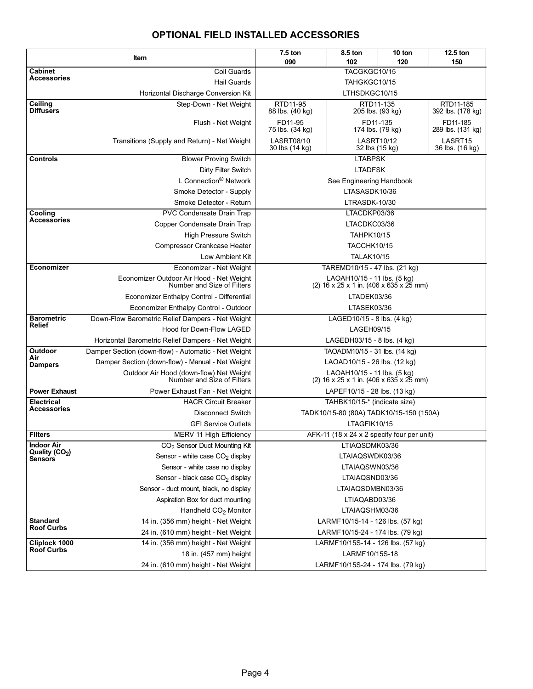## OPTIONAL FIELD INSTALLED ACCESSORIES

|                                                 | Item                                                                   | $7.5$ ton                           | 8.5 ton<br>102                                                                     | 10 ton | 12.5 ton                      |  |  |  |  |  |  |
|-------------------------------------------------|------------------------------------------------------------------------|-------------------------------------|------------------------------------------------------------------------------------|--------|-------------------------------|--|--|--|--|--|--|
| <b>Cabinet</b>                                  | Coil Guards                                                            | 090<br>120<br>150<br>TACGKGC10/15   |                                                                                    |        |                               |  |  |  |  |  |  |
| <b>Accessories</b>                              | <b>Hail Guards</b>                                                     |                                     | TAHGKGC10/15                                                                       |        |                               |  |  |  |  |  |  |
|                                                 | Horizontal Discharge Conversion Kit                                    |                                     | LTHSDKGC10/15                                                                      |        |                               |  |  |  |  |  |  |
| Ceiling                                         | Step-Down - Net Weight                                                 | RTD11-95                            | RTD11-135                                                                          |        | RTD11-185                     |  |  |  |  |  |  |
| <b>Diffusers</b>                                |                                                                        | 88 lbs. (40 kg)                     | 205 lbs. (93 kg)                                                                   |        | 392 lbs. (178 kg)             |  |  |  |  |  |  |
|                                                 | Flush - Net Weight                                                     | FD11-95<br>75 lbs. (34 kg)          | FD11-135<br>174 lbs. (79 kg)                                                       |        | FD11-185<br>289 lbs. (131 kg) |  |  |  |  |  |  |
|                                                 | Transitions (Supply and Return) - Net Weight                           | <b>LASRT08/10</b><br>30 lbs (14 kg) | <b>LASRT10/12</b><br>LASRT15<br>32 lbs (15 kg)<br>36 lbs. (16 kg)                  |        |                               |  |  |  |  |  |  |
| <b>Controls</b>                                 | <b>Blower Proving Switch</b>                                           |                                     | <b>LTABPSK</b>                                                                     |        |                               |  |  |  |  |  |  |
|                                                 | Dirty Filter Switch                                                    | <b>LTADFSK</b>                      |                                                                                    |        |                               |  |  |  |  |  |  |
|                                                 | L Connection <sup>®</sup> Network                                      | See Engineering Handbook            |                                                                                    |        |                               |  |  |  |  |  |  |
|                                                 | Smoke Detector - Supply                                                | LTASASDK10/36                       |                                                                                    |        |                               |  |  |  |  |  |  |
|                                                 | Smoke Detector - Return                                                |                                     | LTRASDK-10/30                                                                      |        |                               |  |  |  |  |  |  |
| Cooling                                         | PVC Condensate Drain Trap                                              |                                     | LTACDKP03/36                                                                       |        |                               |  |  |  |  |  |  |
| <b>Accessories</b>                              | Copper Condensate Drain Trap                                           |                                     | LTACDKC03/36                                                                       |        |                               |  |  |  |  |  |  |
|                                                 | <b>High Pressure Switch</b>                                            |                                     | <b>TAHPK10/15</b>                                                                  |        |                               |  |  |  |  |  |  |
|                                                 | <b>Compressor Crankcase Heater</b>                                     |                                     | <b>TACCHK10/15</b>                                                                 |        |                               |  |  |  |  |  |  |
|                                                 | Low Ambient Kit                                                        |                                     | <b>TALAK10/15</b>                                                                  |        |                               |  |  |  |  |  |  |
| Economizer                                      | Economizer - Net Weight                                                |                                     | TAREMD10/15 - 47 lbs. (21 kg)                                                      |        |                               |  |  |  |  |  |  |
|                                                 | Economizer Outdoor Air Hood - Net Weight<br>Number and Size of Filters |                                     | LAOAH10/15 - 11 lbs. (5 kg)<br>(2) $16 \times 25 \times 1$ in. (406 x 635 x 25 mm) |        |                               |  |  |  |  |  |  |
|                                                 | Economizer Enthalpy Control - Differential                             |                                     | LTADEK03/36                                                                        |        |                               |  |  |  |  |  |  |
|                                                 | Economizer Enthalpy Control - Outdoor                                  | LTASEK03/36                         |                                                                                    |        |                               |  |  |  |  |  |  |
| <b>Barometric</b>                               | Down-Flow Barometric Relief Dampers - Net Weight                       |                                     | LAGED10/15 - 8 lbs. (4 kg)                                                         |        |                               |  |  |  |  |  |  |
| <b>Relief</b>                                   | Hood for Down-Flow LAGED                                               | LAGEH09/15                          |                                                                                    |        |                               |  |  |  |  |  |  |
|                                                 | Horizontal Barometric Relief Dampers - Net Weight                      |                                     | LAGEDH03/15 - 8 lbs. (4 kg)                                                        |        |                               |  |  |  |  |  |  |
| <b>Outdoor</b>                                  | Damper Section (down-flow) - Automatic - Net Weight                    |                                     | TAOADM10/15 - 31 lbs. (14 kg)                                                      |        |                               |  |  |  |  |  |  |
| Air<br><b>Dampers</b>                           | Damper Section (down-flow) - Manual - Net Weight                       |                                     | LAOAD10/15 - 26 lbs. (12 kg)                                                       |        |                               |  |  |  |  |  |  |
|                                                 | Outdoor Air Hood (down-flow) Net Weight<br>Number and Size of Filters  |                                     | LAOAH10/15 - 11 lbs. (5 kg)<br>(2) $16 \times 25 \times 1$ in. (406 x 635 x 25 mm) |        |                               |  |  |  |  |  |  |
| <b>Power Exhaust</b>                            | Power Exhaust Fan - Net Weight                                         |                                     | LAPEF10/15 - 28 lbs. (13 kg)                                                       |        |                               |  |  |  |  |  |  |
| <b>Electrical</b><br><b>Accessories</b>         | <b>HACR Circuit Breaker</b>                                            |                                     | TAHBK10/15-* (indicate size)                                                       |        |                               |  |  |  |  |  |  |
|                                                 | <b>Disconnect Switch</b>                                               |                                     | TADK10/15-80 (80A) TADK10/15-150 (150A)                                            |        |                               |  |  |  |  |  |  |
|                                                 | <b>GFI Service Outlets</b>                                             |                                     | LTAGFIK10/15                                                                       |        |                               |  |  |  |  |  |  |
| <b>Filters</b>                                  | MERV 11 High Efficiency                                                |                                     | AFK-11 (18 x 24 x 2 specify four per unit)                                         |        |                               |  |  |  |  |  |  |
| <b>Indoor Air</b><br>Quality (CO <sub>2</sub> ) | CO <sub>2</sub> Sensor Duct Mounting Kit                               |                                     | LTIAQSDMK03/36                                                                     |        |                               |  |  |  |  |  |  |
| Sensors                                         | Sensor - white case CO <sub>2</sub> display                            |                                     | LTAIAQSWDK03/36                                                                    |        |                               |  |  |  |  |  |  |
|                                                 | Sensor - white case no display                                         |                                     | LTAIAQSWN03/36                                                                     |        |                               |  |  |  |  |  |  |
|                                                 | Sensor - black case CO <sub>2</sub> display                            |                                     | LTAIAQSND03/36                                                                     |        |                               |  |  |  |  |  |  |
|                                                 | Sensor - duct mount, black, no display                                 |                                     | LTAIAQSDMBN03/36                                                                   |        |                               |  |  |  |  |  |  |
|                                                 | Aspiration Box for duct mounting                                       |                                     | LTIAQABD03/36                                                                      |        |                               |  |  |  |  |  |  |
|                                                 | Handheld $CO2$ Monitor                                                 | LTAIAQSHM03/36                      |                                                                                    |        |                               |  |  |  |  |  |  |
| <b>Standard</b><br><b>Roof Curbs</b>            | 14 in. (356 mm) height - Net Weight                                    |                                     | LARMF10/15-14 - 126 lbs. (57 kg)                                                   |        |                               |  |  |  |  |  |  |
|                                                 | 24 in. (610 mm) height - Net Weight                                    |                                     | LARMF10/15-24 - 174 lbs. (79 kg)                                                   |        |                               |  |  |  |  |  |  |
| Cliplock 1000<br><b>Roof Curbs</b>              | 14 in. (356 mm) height - Net Weight                                    |                                     | LARMF10/15S-14 - 126 lbs. (57 kg)                                                  |        |                               |  |  |  |  |  |  |
|                                                 | 18 in. (457 mm) height                                                 | LARMF10/15S-18                      |                                                                                    |        |                               |  |  |  |  |  |  |
|                                                 | 24 in. (610 mm) height - Net Weight                                    |                                     | LARMF10/15S-24 - 174 lbs. (79 kg)                                                  |        |                               |  |  |  |  |  |  |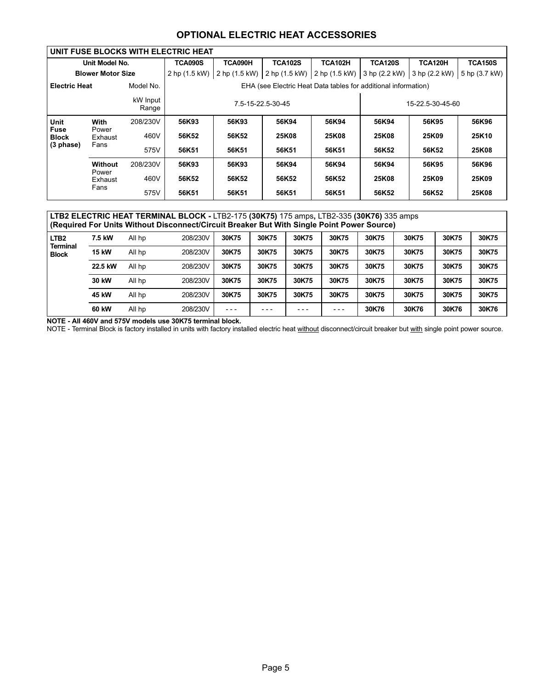## OPTIONAL ELECTRIC HEAT ACCESSORIES

|                      |                          |                   | UNIT FUSE BLOCKS WITH ELECTRIC HEAT |                                       |                                                                |                |                |               |                |  |  |  |  |
|----------------------|--------------------------|-------------------|-------------------------------------|---------------------------------------|----------------------------------------------------------------|----------------|----------------|---------------|----------------|--|--|--|--|
|                      | Unit Model No.           |                   | <b>TCA090S</b>                      | TCA090H                               | <b>TCA102S</b>                                                 | <b>TCA102H</b> | <b>TCA120S</b> | TCA120H       | <b>TCA150S</b> |  |  |  |  |
|                      | <b>Blower Motor Size</b> |                   | 2 hp (1.5 kW)                       | 2 hp (1.5 kW)                         | 2 hp (1.5 kW) 2 hp (1.5 kW) 3 hp (2.2 kW)                      |                |                | 3 hp (2.2 kW) | 5 hp (3.7 kW)  |  |  |  |  |
| <b>Electric Heat</b> |                          | Model No.         |                                     |                                       | EHA (see Electric Heat Data tables for additional information) |                |                |               |                |  |  |  |  |
|                      |                          | kW Input<br>Range |                                     | 7.5-15-22.5-30-45<br>15-22.5-30-45-60 |                                                                |                |                |               |                |  |  |  |  |
| Unit                 | With                     | 208/230V          | 56K93                               | 56K93                                 | 56K94                                                          | 56K94          | 56K94          | 56K95         | 56K96          |  |  |  |  |
| Fuse<br><b>Block</b> | Power<br>Exhaust         | 460V              | 56K52                               | 56K52                                 | 25K08                                                          | <b>25K08</b>   | 25K08          | 25K09         | 25K10          |  |  |  |  |
| (3 phase)            | Fans                     | 575V              | 56K51                               | 56K51                                 | 56K51                                                          | 56K51          | 56K52          | 56K52         | 25K08          |  |  |  |  |
|                      | <b>Without</b>           | 208/230V          | 56K93                               | 56K93                                 | 56K94                                                          | 56K94          | 56K94          | 56K95         | 56K96          |  |  |  |  |
|                      | Power<br>Exhaust         | 460V              | 56K52                               | 56K52                                 | 56K52                                                          | 56K52          | 25K08          | 25K09         | 25K09          |  |  |  |  |
|                      | Fans                     | 575V              | 56K51                               | 56K51                                 | 56K51                                                          | 56K51          | 56K52          | 56K52         | 25K08          |  |  |  |  |

#### LTB2 ELECTRIC HEAT TERMINAL BLOCK − LTB2−175 (30K75) 175 amps, LTB2−335 (30K76) 335 amps (Required For Units Without Disconnect/Circuit Breaker But With Single Point Power Source)

| LTB <sub>2</sub>                | 7.5 kW       | All hp | 208/230V | 30K75   | 30K75 | 30K75 | 30K75   | 30K75 | 30K75 | 30K75 | 30K75 |
|---------------------------------|--------------|--------|----------|---------|-------|-------|---------|-------|-------|-------|-------|
| <b>Terminal</b><br><b>Block</b> | <b>15 kW</b> | All hp | 208/230V | 30K75   | 30K75 | 30K75 | 30K75   | 30K75 | 30K75 | 30K75 | 30K75 |
|                                 | 22.5 kW      | All hp | 208/230V | 30K75   | 30K75 | 30K75 | 30K75   | 30K75 | 30K75 | 30K75 | 30K75 |
|                                 | 30 kW        | All hp | 208/230V | 30K75   | 30K75 | 30K75 | 30K75   | 30K75 | 30K75 | 30K75 | 30K75 |
|                                 | 45 kW        | All hp | 208/230V | 30K75   | 30K75 | 30K75 | 30K75   | 30K75 | 30K75 | 30K75 | 30K75 |
|                                 | 60 kW        | All hp | 208/230V | $- - -$ | - - - | - - - | $- - -$ | 30K76 | 30K76 | 30K76 | 30K76 |

NOTE − All 460V and 575V models use 30K75 terminal block.

NOTE - Terminal Block is factory installed in units with factory installed electric heat without disconnect/circuit breaker but with single point power source.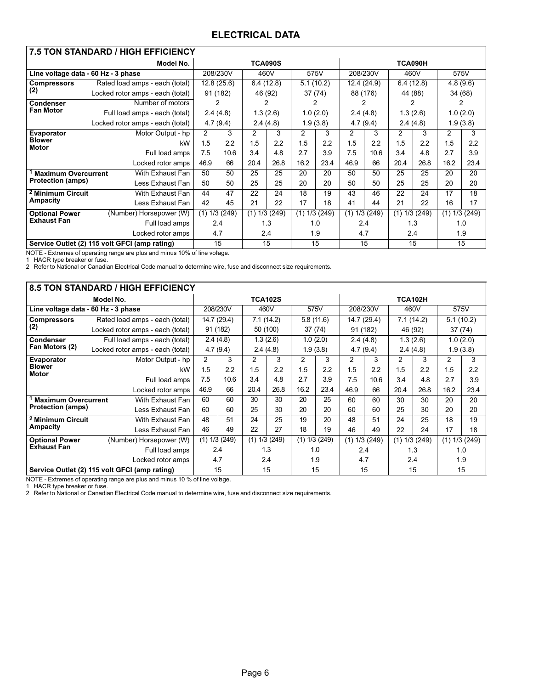## ELECTRICAL DATA

| <b>7.5 TON STANDARD / HIGH EFFICIENCY</b> |                                               |      |                 |                 |                |           |           |             |               |               |               |          |          |
|-------------------------------------------|-----------------------------------------------|------|-----------------|-----------------|----------------|-----------|-----------|-------------|---------------|---------------|---------------|----------|----------|
|                                           | Model No.                                     |      |                 |                 | <b>TCA090S</b> |           |           |             |               | TCA090H       |               |          |          |
|                                           | Line voltage data - 60 Hz - 3 phase           |      | 208/230V        | 460V            |                |           | 575V      | 208/230V    |               | 460V          |               | 575V     |          |
| <b>Compressors</b>                        | Rated load amps - each (total)                |      | 12.8 (25.6)     |                 | 6.4(12.8)      | 5.1(10.2) |           | 12.4 (24.9) |               | 6.4(12.8)     |               | 4.8(9.6) |          |
| (2)                                       | Locked rotor amps - each (total)              |      | 91 (182)        | 46 (92)         |                |           | 37(74)    |             | 88 (176)      | 44 (88)       |               | 34 (68)  |          |
| Condenser                                 | Number of motors                              |      | 2               |                 | 2              |           | 2         |             | $\mathcal{P}$ | $\mathcal{P}$ |               | 2        |          |
| <b>Fan Motor</b>                          | Full load amps - each (total)                 |      | 2.4(4.8)        |                 | 1.3(2.6)       |           | 1.0(2.0)  |             | 2.4(4.8)      |               | 1.3(2.6)      |          | 1.0(2.0) |
|                                           | Locked rotor amps - each (total)              |      | 4.7(9.4)        |                 | 2.4(4.8)       |           | 1.9(3.8)  |             | 4.7(9.4)      | 2.4(4.8)      |               |          | 1.9(3.8) |
| Evaporator                                | Motor Output - hp                             |      |                 |                 | 3              | 2         | 3         | 2           | 3             | 2             | 3             | 2        | 3        |
| <b>Blower</b><br><b>Motor</b>             | 1.5                                           | 2.2  | 1.5             | 2.2             | 1.5            | 2.2       | 1.5       | 2.2         | 1.5           | 2.2           | 1.5           | 2.2      |          |
|                                           | Full load amps                                | 7.5  | 10.6            | 3.4             | 4.8            | 2.7       | 3.9       | 7.5         | 10.6          | 3.4           | 4.8           | 2.7      | 3.9      |
|                                           | Locked rotor amps                             | 46.9 | 66              | 20.4            | 26.8           | 16.2      | 23.4      | 46.9        | 66            | 20.4          | 26.8          | 16.2     | 23.4     |
| <b>Maximum Overcurrent</b>                | With Exhaust Fan                              | 50   | 50              | 25              | 25             | 20        | 20        | 50          | 50            | 25            | 25            | 20       | 20       |
| <b>Protection (amps)</b>                  | Less Exhaust Fan                              | 50   | 50              | 25              | 25             | 20        | 20        | 50          | 50            | 25            | 25            | 20       | 20       |
| <sup>2</sup> Minimum Circuit              | With Exhaust Fan                              | 44   | 47              | 22              | 24             | 18        | 19        | 43          | 46            | 22            | 24            | 17       | 18       |
| <b>Ampacity</b>                           | Less Exhaust Fan                              | 42   | 45              | 21              | 22             | 17        | 18        | 41          | 44            | 21            | 22            | 16       | 17       |
| <b>Optional Power</b>                     | (Number) Horsepower (W)                       |      | $(1)$ 1/3 (249) | $(1)$ 1/3 (249) |                | (1)       | 1/3 (249) | (1)         | 1/3 (249)     |               | (1) 1/3 (249) | (1)      | 1/3(249) |
| <b>Exhaust Fan</b>                        | Full load amps                                |      | 2.4             |                 | 1.3            | 1.0       |           | 2.4         |               | 1.3           |               | 1.0      |          |
|                                           | Locked rotor amps                             |      | 4.7             |                 | 2.4            |           | 1.9       |             | 4.7           |               | 2.4           |          | 1.9      |
|                                           | Service Outlet (2) 115 volt GFCI (amp rating) |      | 15              | 15              |                | 15        |           | 15          |               | 15            |               | 15       |          |

NOTE - Extremes of operating range are plus and minus 10% of line voltage.

1 HACR type breaker or fuse.

2 Refer to National or Canadian Electrical Code manual to determine wire, fuse and disconnect size requirements.

| 8.5 TON STANDARD / HIGH EFFICIENCY  |                                               |      |                   |                   |                |                   |           |                            |                   |           |                   |               |                   |  |
|-------------------------------------|-----------------------------------------------|------|-------------------|-------------------|----------------|-------------------|-----------|----------------------------|-------------------|-----------|-------------------|---------------|-------------------|--|
|                                     | Model No.                                     |      |                   |                   | <b>TCA102S</b> |                   |           | TCA102H                    |                   |           |                   |               |                   |  |
| Line voltage data - 60 Hz - 3 phase |                                               |      | 208/230V          | 460V              |                | 575V              |           | 208/230V                   |                   | 460V      |                   | 575V          |                   |  |
| <b>Compressors</b>                  | Rated load amps - each (total)                |      | 14.7 (29.4)       |                   | 7.1(14.2)      |                   | 5.8(11.6) |                            | 14.7 (29.4)       | 7.1(14.2) |                   | 5.1(10.2)     |                   |  |
| (2)                                 | Locked rotor amps - each (total)              |      | 91 (182)          |                   | 50 (100)       | 37(74)            |           |                            | 91 (182)          | 46 (92)   |                   |               | 37(74)            |  |
| Condenser                           | Full load amps - each (total)                 |      | 2.4(4.8)          |                   | 1.3(2.6)       |                   | 1.0(2.0)  |                            | 2.4(4.8)          |           | 1.3(2.6)          |               | 1.0(2.0)          |  |
| Fan Motors (2)                      | Locked rotor amps - each (total)              |      | 4.7(9.4)          |                   | 2.4(4.8)       |                   | 1.9(3.8)  | 4.7(9.4)<br>2.4(4.8)       |                   |           |                   |               | 1.9(3.8)          |  |
| Evaporator                          | Motor Output - hp                             | 2    | 3                 | 2                 | 3              | 2                 | 3         | 2                          | 3                 | 2         | 3                 | $\mathcal{P}$ | 3                 |  |
| <b>Blower</b><br><b>Motor</b>       | kW                                            | 1.5  | 2.2               | 1.5               | 2.2            | 1.5               | 2.2       | 1.5                        | 2.2               | 1.5       | 2.2               | 1.5           | 2.2               |  |
|                                     | Full load amps                                | 7.5  | 10.6              | 3.4               | 4.8            | 2.7               | 3.9       | 7.5                        | 10.6              | 3.4       | 4.8               | 2.7           | 3.9               |  |
|                                     | Locked rotor amps                             | 46.9 | 66                | 20.4              | 26.8           | 16.2              | 23.4      | 46.9                       | 66                | 20.4      | 26.8              | 16.2          | 23.4              |  |
| <b>Maximum Overcurrent</b>          | With Exhaust Fan                              | 60   | 60                | 30                | 30             | 20                | 25        | 60                         | 60                | 30        | 30                | 20            | 20                |  |
| <b>Protection (amps)</b>            | Less Exhaust Fan                              | 60   | 60                | 25                | 30             | 20                | 20        | 60                         | 60                | 25        | 30                | 20            | 20                |  |
| <sup>2</sup> Minimum Circuit        | With Exhaust Fan                              | 48   | 51                | 24                | 25             | 19                | 20        | 48                         | 51                | 24        | 25                | 18            | 19                |  |
| Ampacity                            | Less Exhaust Fan                              | 46   | 49                | 22                | 27             | 18                | 19        | 22<br>24<br>17<br>46<br>49 |                   |           |                   |               | 18                |  |
| <b>Optional Power</b>               | (Number) Horsepower (W)                       |      | $(1)$ 1/3 $(249)$ | $(1)$ 1/3 $(249)$ |                | $(1)$ 1/3 $(249)$ |           |                            | $(1)$ 1/3 $(249)$ |           | $(1)$ 1/3 $(249)$ |               | $(1)$ 1/3 $(249)$ |  |
| <b>Exhaust Fan</b>                  | Full load amps                                |      | 2.4               |                   | 1.3            |                   | 1.0       | 2.4                        |                   | 1.3       |                   | 1.0           |                   |  |
|                                     | Locked rotor amps                             |      | 4.7               | 2.4               |                |                   | 1.9       | 4.7                        |                   |           | 2.4<br>1.9        |               |                   |  |
|                                     | Service Outlet (2) 115 volt GFCI (amp rating) |      | 15                |                   | 15             | 15                |           | 15                         |                   | 15        |                   | 15            |                   |  |

NOTE - Extremes of operating range are plus and minus 10 % of line voltage.<br>1 HACR type breaker or fuse.

2 Refer to National or Canadian Electrical Code manual to determine wire, fuse and disconnect size requirements.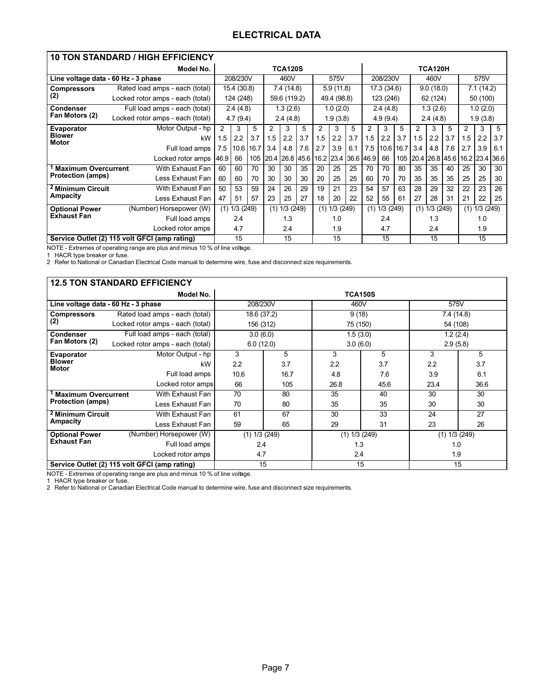## ELECTRICAL DATA

| <b>10 TON STANDARD / HIGH EFFICIENCY</b> |                                               |      |             |     |     |                |     |     |             |                     |             |           |      |           |                                   |     |     |            |     |
|------------------------------------------|-----------------------------------------------|------|-------------|-----|-----|----------------|-----|-----|-------------|---------------------|-------------|-----------|------|-----------|-----------------------------------|-----|-----|------------|-----|
|                                          | Model No.                                     |      |             |     |     | <b>TCA120S</b> |     |     |             |                     |             |           |      |           | <b>TCA120H</b>                    |     |     |            |     |
| Line voltage data - 60 Hz - 3 phase      |                                               |      | 208/230V    |     |     | 460V           |     |     | 575V        |                     |             | 208/230V  |      |           | 460V                              |     |     | 575V       |     |
| <b>Compressors</b>                       | Rated load amps - each (total)                |      | 15.4 (30.8) |     |     | 7.4 (14.8)     |     |     | 5.9(11.8)   |                     | 17.3 (34.6) |           |      | 9.0(18.0) |                                   |     |     | 7.1 (14.2) |     |
| (2)                                      | Locked rotor amps - each (total)              |      | 124 (248)   |     |     | 59.6 (119.2)   |     |     | 49.4 (98.8) |                     |             | 123 (246) |      |           | 62 (124)                          |     |     | 50 (100)   |     |
| <b>Condenser</b>                         | Full load amps - each (total)                 |      | 2.4(4.8)    |     |     | 1.3(2.6)       |     |     | 1.0(2.0)    |                     |             | 2.4(4.8)  |      |           | 1.3(2.6)                          |     |     | 1.0(2.0)   |     |
| Fan Motors (2)                           | Locked rotor amps - each (total)              |      | 4.7(9.4)    |     |     | 2.4(4.8)       |     |     | 1.9(3.8)    |                     |             | 4.9(9.4)  |      |           | 2.4(4.8)                          |     |     | 1.9(3.8)   |     |
| Evaporator                               | Motor Output - hp                             | 2    | 3           | 5   | 2   | 3              | 5   | 2   | 3           | 5                   | 2           | 3         | 5    | 2         | 3                                 | 5   | 2   | 3          | 5   |
| <b>Blower</b><br>Motor                   | kW                                            | 1.5  | 2.2         | 3.7 | 1.5 | 2.2            | 3.7 | 1.5 | 2.2         | 3.7                 | 1.5         | 2.2       | 3.7  | 1.5       | 2.2                               | 3.7 | 1.5 | 2.2        | 3.7 |
|                                          | Full load amps                                | 7.5  | 10.6 16.7   |     | 3.4 | 4.8            | 7.6 | 2.7 | 3.9         | 6.1                 | 7.5         | 10.6      | 16.7 | 3.4       | 4.8                               | 7.6 | 2.7 | 3.9        | 6.1 |
|                                          | Locked rotor amps                             | 46.9 | 66          | 105 |     | 20.4 26.8 45.6 |     |     |             | 16.2 23.4 36.6 46.9 |             | 66        |      |           | 105 20.4 26.8 45.6 16.2 23.4 36.6 |     |     |            |     |
| <b>Maximum Overcurrent</b>               | With Exhaust Fan                              | 60   | 60          | 70  | 30  | 30             | 35  | 20  | 25          | 25                  | 70          | 70        | 80   | 35        | 35                                | 40  | 25  | 30         | 30  |
| <b>Protection (amps)</b>                 | Less Exhaust Fan                              | 60   | 60          | 70  | 30  | 30             | 30  | 20  | 25          | 25                  | 60          | 70        | 70   | 35        | 35                                | 35  | 25  | 25         | 30  |
| <sup>2</sup> Minimum Circuit             | With Exhaust Fan                              | 50   | 53          | 59  | 24  | 26             | 29  | 19  | 21          | 23                  | 54          | 57        | 63   | 28        | 29                                | 32  | 22  | 23         | 26  |
| Ampacity                                 | Less Exhaust Fan                              | 47   | 51          | 57  | 23  | 25             | 27  | 18  | 20          | 22                  | 52          | 55        | 61   | 27        | 28                                | 31  | 21  | 22         | 25  |
| <b>Optional Power</b>                    | (Number) Horsepower (W)                       | (1)  | 1/3(249)    |     | (1) | 1/3(249)       |     | (1) | 1/3(249)    |                     | (1)         | 1/3 (249) |      |           | $(1)$ 1/3 $(249)$                 |     | (1) | 1/3(249)   |     |
| <b>Exhaust Fan</b>                       | Full load amps                                |      | 2.4         |     |     | 1.3            |     |     | 1.0         |                     |             | 2.4       |      |           | 1.3                               |     |     | 1.0        |     |
|                                          | Locked rotor amps                             |      | 4.7         |     |     | 2.4            |     |     | 1.9         |                     |             | 4.7       |      |           | 2.4                               |     |     | 1.9        |     |
|                                          | Service Outlet (2) 115 volt GFCI (amp rating) |      | 15          |     |     | 15             |     |     | 15          |                     |             | 15        |      |           | 15                                |     |     | 15         |     |

NOTE - Extremes of operating range are plus and minus 10 % of line voltage.

1 HACR type breaker or fuse.

2 Refer to National or Canadian Electrical Code manual to determine wire, fuse and disconnect size requirements.

|                                     | <b>12.5 TON STANDARD EFFICIENCY</b>           |                   |      |                   |      |               |      |  |
|-------------------------------------|-----------------------------------------------|-------------------|------|-------------------|------|---------------|------|--|
|                                     | Model No.                                     |                   |      | <b>TCA150S</b>    |      |               |      |  |
| Line voltage data - 60 Hz - 3 phase |                                               | 208/230V          |      | 460V              |      | 575V          |      |  |
| <b>Compressors</b>                  | Rated load amps - each (total)                | 18.6 (37.2)       |      | 9(18)             |      | 7.4 (14.8)    |      |  |
| (2)                                 | Locked rotor amps - each (total)              | 156 (312)         |      | 75 (150)          |      | 54 (108)      |      |  |
| <b>Condenser</b>                    | Full load amps - each (total)                 | 3.0(6.0)          |      | 1.5(3.0)          |      | 1.2(2.4)      |      |  |
| Fan Motors (2)                      | Locked rotor amps - each (total)              | 6.0(12.0)         |      | 3.0(6.0)          |      | 2.9(5.8)      |      |  |
| <b>Evaporator</b>                   | Motor Output - hp                             | 3                 | 5    | 3                 | 5    | 3             | 5    |  |
| <b>Blower</b><br>Motor              | kW                                            | 2.2               | 3.7  | 2.2               | 3.7  | 2.2           | 3.7  |  |
|                                     | Full load amps                                | 10.6              | 16.7 | 4.8               | 7.6  | 3.9           | 6.1  |  |
|                                     | Locked rotor amps                             | 66                | 105  | 26.8              | 45.6 | 23.4          | 36.6 |  |
| <b>Maximum Overcurrent</b>          | With Exhaust Fan                              | 70                | 80   | 35                | 40   | 30            | 30   |  |
| <b>Protection (amps)</b>            | Less Exhaust Fan                              | 70                | 80   | 35                | 35   | 30            | 30   |  |
| <sup>2</sup> Minimum Circuit        | With Exhaust Fan                              | 61                | 67   | 30                | 33   | 24            | 27   |  |
| Ampacity                            | Less Exhaust Fan                              | 59                | 65   | 29                | 31   | 23            | 26   |  |
| <b>Optional Power</b>               | (Number) Horsepower (W)                       | $(1)$ 1/3 $(249)$ |      | $(1)$ 1/3 $(249)$ |      | (1) 1/3 (249) |      |  |
| <b>Exhaust Fan</b>                  | Full load amps                                | 2.4               |      | 1.3               |      | 1.0           |      |  |
|                                     | Locked rotor amps                             | 4.7               |      | 2.4               |      | 1.9           |      |  |
|                                     | Service Outlet (2) 115 volt GFCI (amp rating) |                   | 15   | 15                |      | 15            |      |  |

NOTE - Extremes of operating range are plus and minus 10 % of line voltage.

1 HACR type breaker or fuse.

2 Refer to National or Canadian Electrical Code manual to determine wire, fuse and disconnect size requirements.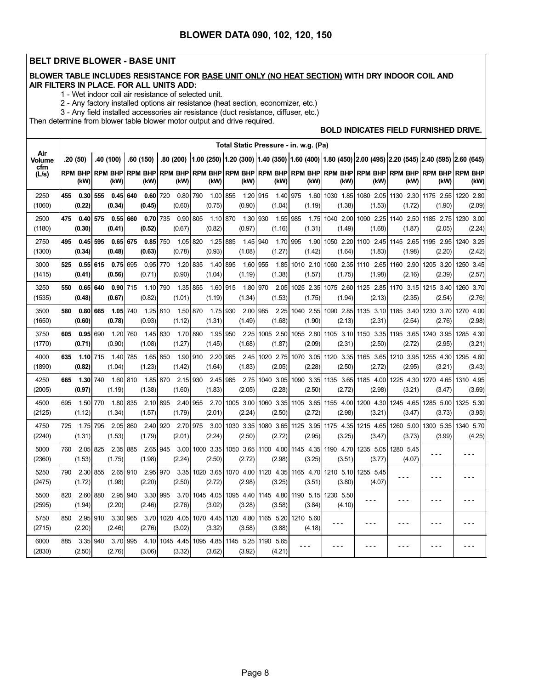#### BELT DRIVE BLOWER - BASE UNIT

÷,

#### BLOWER TABLE INCLUDES RESISTANCE FOR BASE UNIT ONLY (NO HEAT SECTION) WITH DRY INDOOR COIL AND AIR FILTERS IN PLACE. FOR ALL UNITS ADD:

1 − Wet indoor coil air resistance of selected unit.

2 − Any factory installed options air resistance (heat section, economizer, etc.)

3 − Any field installed accessories air resistance (duct resistance, diffuser, etc.)

Then determine from blower table blower motor output and drive required.

#### BOLD INDICATES FIELD FURNISHED DRIVE.

|                      |     |                      |     |                        |     |                        |     |                               |     |                          |     |                        |     |                        | Total Static Pressure - in. w.g. (Pa) |                               |                        |                                                                                                              |                        |                        |
|----------------------|-----|----------------------|-----|------------------------|-----|------------------------|-----|-------------------------------|-----|--------------------------|-----|------------------------|-----|------------------------|---------------------------------------|-------------------------------|------------------------|--------------------------------------------------------------------------------------------------------------|------------------------|------------------------|
| Air<br><b>Volume</b> |     | .20 (50)             |     | .40 (100)              |     | .60 (150)              |     |                               |     |                          |     |                        |     |                        |                                       |                               |                        | .80 (200) 1.00 (250) 1.20 (300) 1.40 (350) 1.60 (400) 1.80 (450) 2.00 (495) 2.20 (545) 2.40 (595) 2.60 (645) |                        |                        |
| cfm<br>(L/s)         |     | rpm bhp<br>(kW)      |     | <b>RPM BHP</b><br>(kW) |     | <b>RPM BHP</b><br>(kW) |     | <b>RPM BHP</b><br>(kW)        |     | <b>RPM BHP</b><br>(kW)   |     | <b>RPM BHP</b><br>(kW) |     | <b>RPM BHP</b><br>(kW) | <b>RPM BHP</b><br>(kW)                | <b>RPM BHP</b><br>(kW)        | <b>RPM BHP</b><br>(kW) | <b>RPM BHP</b><br>(kW)                                                                                       | <b>RPM BHP</b><br>(kW) | <b>RPM BHP</b><br>(kW) |
| 2250<br>(1060)       | 455 | 0.30<br>(0.22)       | 555 | 0.45<br>(0.34)         | 640 | 0.60<br>(0.45)         | 720 | 0.80 790<br>(0.60)            |     | 1.00<br>(0.75)           | 855 | 1.20 915<br>(0.90)     |     | 1.40<br>(1.04)         | 975<br>1.60<br>(1.19)                 | 1030 1.85<br>(1.38)           | 1080 2.05<br>(1.53)    | 1130 2.30<br>(1.72)                                                                                          | 1175 2.55<br>(1.90)    | 1220 2.80<br>(2.09)    |
| 2500<br>(1180)       | 475 | 0.40<br>(0.30)       | 575 | 0.55<br>(0.41)         | 660 | 0.70<br>(0.52)         | 735 | 0.90<br>(0.67)                | 805 | 1.10<br>(0.82)           | 870 | 1.30<br>(0.97)         | 930 | 1.55<br>(1.16)         | 985<br>(1.31)                         | 1.75 1040 2.00<br>(1.49)      | 1090 2.25<br>(1.68)    | 1140 2.50<br>(1.87)                                                                                          | 1185 2.75<br>(2.05)    | 1230 3.00<br>(2.24)    |
| 2750<br>(1300)       | 495 | 0.45<br>(0.34)       | 595 | 0.65<br>(0.48)         | 675 | $0.85$ 750<br>(0.63)   |     | 1.05 820<br>(0.78)            |     | 1.25<br>(0.93)           | 885 | 1.45<br>(1.08)         | 940 | 1.70<br>(1.27)         | 995<br>1.90<br>(1.42)                 | 1050 2.20<br>(1.64)           | (1.83)                 | 1100 2.45 1145 2.65<br>(1.98)                                                                                | 1195 2.95<br>(2.20)    | 1240 3.25<br>(2.42)    |
| 3000<br>(1415)       | 525 | 0.55<br>(0.41)       | 615 | 0.75<br>(0.56)         | 695 | 0.95<br>(0.71)         | 770 | 1.20<br>(0.90)                | 835 | 1.40<br>(1.04)           | 895 | 1.60 955<br>(1.19)     |     | 1.85<br>(1.38)         | 1010 2.10<br>(1.57)                   | 1060 2.35<br>(1.75)           | 1110 2.65<br>(1.98)    | 1160 2.90<br>(2.16)                                                                                          | 1205 3.20<br>(2.39)    | 1250 3.45<br>(2.57)    |
| 3250<br>(1535)       | 550 | 0.65<br>(0.48)       | 640 | 0.90<br>(0.67)         | 715 | 1.10<br>(0.82)         | 790 | 1.35<br>(1.01)                | 855 | 1.60<br>(1.19)           | 915 | 1.80 970<br>(1.34)     |     | 2.05<br>(1.53)         | 1025 2.35<br>(1.75)                   | 1075 2.60<br>(1.94)           | 1125 2.85<br>(2.13)    | 1170 3.15<br>(2.35)                                                                                          | 1215 3.40<br>(2.54)    | 1260 3.70<br>(2.76)    |
| 3500<br>(1650)       | 580 | 0.80<br>(0.60)       | 665 | 1.05<br>(0.78)         | 740 | 1.25 810<br>(0.93)     |     | 1.50 870<br>(1.12)            |     | 1.75<br>(1.31)           | 930 | 2.00<br>(1.49)         | 985 | 2.25<br>(1.68)         | 1040 2.55<br>(1.90)                   | 1090 2.85<br>(2.13)           | 1135 3.10<br>(2.31)    | 1185 3.40<br>(2.54)                                                                                          | 1230 3.70<br>(2.76)    | 1270 4.00<br>(2.98)    |
| 3750<br>(1770)       | 605 | 0.95<br>(0.71)       | 690 | 1.20<br>(0.90)         | 760 | 1.45<br>(1.08)         | 830 | 1.70<br>(1.27)                | 890 | 1.95<br>(1.45)           | 950 | 2.25<br>(1.68)         |     | 1005 2.50<br>(1.87)    | 1055 2.80<br>(2.09)                   | 1105 3.10<br>(2.31)           | 1150 3.35<br>(2.50)    | 1195 3.65<br>(2.72)                                                                                          | 1240 3.95<br>(2.95)    | 1285 4.30<br>(3.21)    |
| 4000<br>(1890)       | 635 | $1.10$ 715<br>(0.82) |     | 1.40<br>(1.04)         | 785 | 1.65<br>(1.23)         | 850 | 1.90 910<br>(1.42)            |     | 2.20<br>(1.64)           | 965 | 2.45<br>(1.83)         |     | 1020 2.75<br>(2.05)    | 1070 3.05<br>(2.28)                   | 1120 3.35<br>(2.50)           | 1165 3.65<br>(2.72)    | 1210 3.95<br>(2.95)                                                                                          | 1255 4.30<br>(3.21)    | 1295 4.60<br>(3.43)    |
| 4250<br>(2005)       | 665 | 1.30<br>(0.97)       | 740 | 1.60<br>(1.19)         | 810 | 1.85 870<br>(1.38)     |     | 2.15<br>(1.60)                | 930 | 2.45<br>(1.83)           | 985 | 2.75<br>(2.05)         |     | 1040 3.05<br>(2.28)    | (2.50)                                | 1090 3.35 1135 3.65<br>(2.72) | 1185 4.00<br>(2.98)    | 1225 4.30<br>(3.21)                                                                                          | 1270 4.65<br>(3.47)    | 1310 4.95<br>(3.69)    |
| 4500<br>(2125)       | 695 | 1.50 770<br>(1.12)   |     | 1.80<br>(1.34)         | 835 | 2.10<br>(1.57)         | 895 | 2.40 955<br>(1.79)            |     | 2.70<br>(2.01)           |     | 1005 3.00<br>(2.24)    |     | 1060 3.35<br>(2.50)    | (2.72)                                | 1105 3.65 1155 4.00<br>(2.98) | 1200 4.30<br>(3.21)    | 1245 4.65<br>(3.47)                                                                                          | 1285 5.00<br>(3.73)    | 1325 5.30<br>(3.95)    |
| 4750<br>(2240)       | 725 | 1.75 795<br>(1.31)   |     | 2.05<br>(1.53)         | 860 | 2.40 920<br>(1.79)     |     | 2.70 975<br>(2.01)            |     | 3.00<br>(2.24)           |     | 1030 3.35<br>(2.50)    |     | 1080 3.65<br>(2.72)    | 1125 3.95<br>(2.95)                   | 1175 4.35<br>(3.25)           | 1215 4.65<br>(3.47)    | 1260 5.00<br>(3.73)                                                                                          | 1300 5.35<br>(3.99)    | 1340 5.70<br>(4.25)    |
| 5000<br>(2360)       | 760 | 2.05<br>(1.53)       | 825 | 2.35<br>(1.75)         | 885 | 2.65<br>(1.98)         | 945 | 3.00<br>(2.24)                |     | 1000 3.35<br>(2.50)      |     | 1050 3.65<br>(2.72)    |     | 1100 4.00<br>(2.98)    | 1145 4.35<br>(3.25)                   | 1190 4.70<br>(3.51)           | 1235 5.05<br>(3.77)    | 1280 5.45<br>(4.07)                                                                                          |                        | - - -                  |
| 5250<br>(2475)       | 790 | 2.30<br>(1.72)       | 855 | 2.65<br>(1.98)         | 910 | 2.95<br>(2.20)         | 970 | 3.35<br>(2.50)                |     | 1020 3.65<br>(2.72)      |     | 1070 4.00<br>(2.98)    |     | 1120 4.35<br>(3.25)    | 1165 4.70<br>(3.51)                   | 1210 5.10<br>(3.80)           | 1255 5.45<br>(4.07)    | ---                                                                                                          | - - -                  |                        |
| 5500<br>(2595)       | 820 | 2.60<br>(1.94)       | 880 | 2.95<br>(2.20)         | 940 | 3.30 995<br>(2.46)     |     | (2.76)                        |     | 3.70 1045 4.05<br>(3.02) |     | 1095 4.40<br>(3.28)    |     | 1145 4.80<br>(3.58)    | 1190 5.15<br>(3.84)                   | 1230 5.50<br>(4.10)           |                        |                                                                                                              | - - -                  |                        |
| 5750<br>(2715)       | 850 | 2.95<br>(2.20)       | 910 | 3.30<br>(2.46)         | 965 | 3.70<br>(2.76)         |     | 1020 4.05 1070 4.45<br>(3.02) |     | (3.32)                   |     | 1120 4.80<br>(3.58)    |     | 1165 5.20<br>(3.88)    | 1210 5.60<br>(4.18)                   | $ -$                          | - - -                  | - - -                                                                                                        | $- - -$                | - - -                  |
| 6000<br>(2830)       | 885 | 3.35<br>(2.50)       | 940 | 3.70<br>(2.76)         | 995 | 4.10<br>(3.06)         |     | 1045 4.45 1095 4.85<br>(3.32) |     | (3.62)                   |     | 1145 5.25<br>(3.92)    |     | 1190 5.65<br>(4.21)    | - - -                                 |                               |                        |                                                                                                              |                        |                        |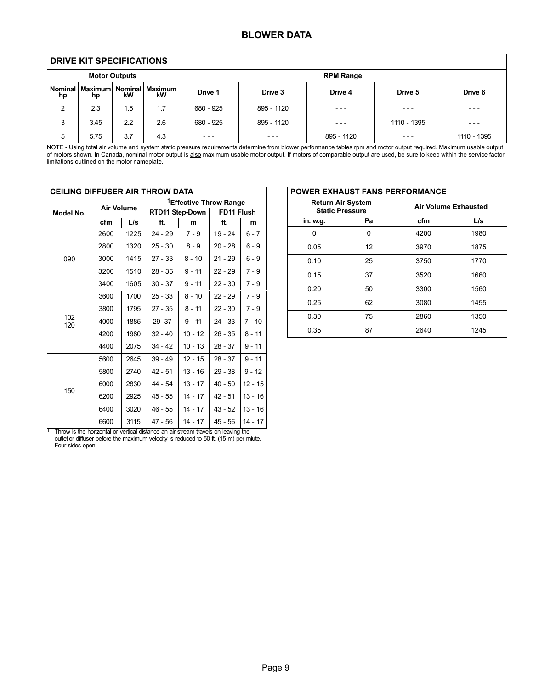### BLOWER DATA

|               | DRIVE KIT SPECIFICATIONS |                      |                                     |           |            |                  |             |             |
|---------------|--------------------------|----------------------|-------------------------------------|-----------|------------|------------------|-------------|-------------|
|               |                          | <b>Motor Outputs</b> |                                     |           |            | <b>RPM Range</b> |             |             |
| Nominal<br>hp | hp                       | kW                   | Maximum   Nominal   Maximum  <br>kW | Drive 1   | Drive 3    | Drive 4          | Drive 5     | Drive 6     |
| 2             | 2.3                      | 1.5                  | 1.7                                 | 680 - 925 | 895 - 1120 | $- - -$          | $- - -$     | $- - -$     |
| 3             | 3.45                     | 2.2                  | 2.6                                 | 680 - 925 | 895 - 1120 | ---              | 1110 - 1395 | $- - -$     |
| 5             | 5.75                     | 3.7                  | 4.3                                 | $- - -$   | $- - -$    | 895 - 1120       | $- - -$     | 1110 - 1395 |

NOTE − Using total air volume and system static pressure requirements determine from blower performance tables rpm and motor output required. Maximum usable output of motors shown. In Canada, nominal motor output is <u>also</u> maximum usable motor output. If motors of comparable output are used, be sure to keep within the service factor<br>limitations outlined on the motor nameplate.

| <b>CEILING DIFFUSER AIR THROW DATA</b> |                   |      |                                    |           |            |           |  |  |
|----------------------------------------|-------------------|------|------------------------------------|-----------|------------|-----------|--|--|
|                                        | <b>Air Volume</b> |      | <sup>1</sup> Effective Throw Range |           |            |           |  |  |
| Model No.                              |                   |      | RTD11 Step-Down                    |           | FD11 Flush |           |  |  |
|                                        | cfm               | L/s  | ft.                                | m         | ft.        | m         |  |  |
|                                        | 2600              | 1225 | $24 - 29$                          | $7 - 9$   | $19 - 24$  | $6 - 7$   |  |  |
|                                        | 2800              | 1320 | $25 - 30$                          | $8 - 9$   | $20 - 28$  | $6 - 9$   |  |  |
| 090                                    | 3000              | 1415 | $27 - 33$                          | $8 - 10$  | $21 - 29$  | $6 - 9$   |  |  |
|                                        | 3200              | 1510 | $28 - 35$                          | $9 - 11$  | $22 - 29$  | $7 - 9$   |  |  |
|                                        | 3400              | 1605 | $30 - 37$                          | $9 - 11$  | $22 - 30$  | $7 - 9$   |  |  |
|                                        | 3600              | 1700 | $25 - 33$                          | $8 - 10$  | $22 - 29$  | $7 - 9$   |  |  |
|                                        | 3800              | 1795 | $27 - 35$                          | $8 - 11$  | $22 - 30$  | $7 - 9$   |  |  |
| 102<br>120                             | 4000              | 1885 | 29-37                              | $9 - 11$  | $24 - 33$  | $7 - 10$  |  |  |
|                                        | 4200              | 1980 | $32 - 40$                          | $10 - 12$ | $26 - 35$  | $8 - 11$  |  |  |
|                                        | 4400              | 2075 | $34 - 42$                          | $10 - 13$ | $28 - 37$  | $9 - 11$  |  |  |
|                                        | 5600              | 2645 | $39 - 49$                          | $12 - 15$ | $28 - 37$  | $9 - 11$  |  |  |
|                                        | 5800              | 2740 | $42 - 51$                          | $13 - 16$ | $29 - 38$  | $9 - 12$  |  |  |
| 150                                    | 6000              | 2830 | 44 - 54                            | $13 - 17$ | $40 - 50$  | $12 - 15$ |  |  |
|                                        | 6200              | 2925 | 45 - 55                            | $14 - 17$ | $42 - 51$  | $13 - 16$ |  |  |
|                                        | 6400              | 3020 | 46 - 55                            | $14 - 17$ | $43 - 52$  | $13 - 16$ |  |  |
|                                        | 6600              | 3115 | 47 - 56                            | 14 - 17   | 45 - 56    | $14 - 17$ |  |  |

<sup>1</sup> Throw is the horizontal or vertical distance an air stream travels on leaving the outlet or diffuser before the maximum velocity is reduced to 50 ft. (15 m) per miute. Four sides open.

| <b>POWER EXHAUST FANS PERFORMANCE</b> |                                                    |      |                             |  |  |  |  |
|---------------------------------------|----------------------------------------------------|------|-----------------------------|--|--|--|--|
|                                       | <b>Return Air System</b><br><b>Static Pressure</b> |      | <b>Air Volume Exhausted</b> |  |  |  |  |
| in. w.g.                              | Pa                                                 | cfm  | L/s                         |  |  |  |  |
| ŋ                                     | 0                                                  | 4200 | 1980                        |  |  |  |  |
| 0.05                                  | 12                                                 | 3970 | 1875                        |  |  |  |  |
| 0.10                                  | 25                                                 | 3750 | 1770                        |  |  |  |  |
| 0.15                                  | 37                                                 | 3520 | 1660                        |  |  |  |  |
| 0.20                                  | 50                                                 | 3300 | 1560                        |  |  |  |  |
| 0.25                                  | 62                                                 | 3080 | 1455                        |  |  |  |  |
| 0.30                                  | 75                                                 | 2860 | 1350                        |  |  |  |  |
| 0.35                                  | 87                                                 | 2640 | 1245                        |  |  |  |  |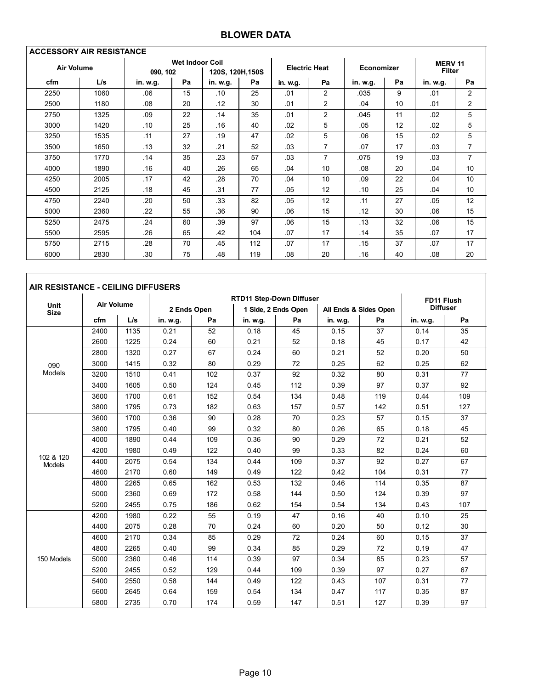## BLOWER DATA

| <b>ACCESSORY AIR RESISTANCE</b> |      |          |                        |                  |     |                      |                |            |    |                                 |                |
|---------------------------------|------|----------|------------------------|------------------|-----|----------------------|----------------|------------|----|---------------------------------|----------------|
| <b>Air Volume</b>               |      | 090, 102 | <b>Wet Indoor Coil</b> | 120S, 120H, 150S |     | <b>Electric Heat</b> |                | Economizer |    | <b>MERV 11</b><br><b>Filter</b> |                |
| cfm                             | L/s  | in. w.g. | Pa                     | in. w.g.         | Pa  | in. w.g.             | Pa             | in. w.g.   | Pa | in. w.g.                        | Pa             |
| 2250                            | 1060 | .06      | 15                     | .10              | 25  | .01                  | 2              | .035       | 9  | .01                             | $\overline{2}$ |
| 2500                            | 1180 | .08      | 20                     | .12              | 30  | .01                  | $\overline{2}$ | .04        | 10 | .01                             | 2              |
| 2750                            | 1325 | .09      | 22                     | .14              | 35  | .01                  | 2              | .045       | 11 | .02                             | 5              |
| 3000                            | 1420 | .10      | 25                     | .16              | 40  | .02                  | 5              | .05        | 12 | .02                             | 5              |
| 3250                            | 1535 | .11      | 27                     | .19              | 47  | .02                  | 5              | .06        | 15 | .02                             | 5              |
| 3500                            | 1650 | .13      | 32                     | .21              | 52  | .03                  | 7              | .07        | 17 | .03                             | 7              |
| 3750                            | 1770 | .14      | 35                     | .23              | 57  | .03                  | $\overline{7}$ | .075       | 19 | .03                             | 7              |
| 4000                            | 1890 | .16      | 40                     | .26              | 65  | .04                  | 10             | .08        | 20 | .04                             | 10             |
| 4250                            | 2005 | .17      | 42                     | .28              | 70  | .04                  | 10             | .09        | 22 | .04                             | 10             |
| 4500                            | 2125 | .18      | 45                     | .31              | 77  | .05                  | 12             | .10        | 25 | .04                             | 10             |
| 4750                            | 2240 | .20      | 50                     | .33              | 82  | .05                  | 12             | .11        | 27 | .05                             | 12             |
| 5000                            | 2360 | .22      | 55                     | .36              | 90  | .06                  | 15             | .12        | 30 | .06                             | 15             |
| 5250                            | 2475 | .24      | 60                     | .39              | 97  | .06                  | 15             | .13        | 32 | .06                             | 15             |
| 5500                            | 2595 | .26      | 65                     | .42              | 104 | .07                  | 17             | .14        | 35 | .07                             | 17             |
| 5750                            | 2715 | .28      | 70                     | .45              | 112 | .07                  | 17             | .15        | 37 | .07                             | 17             |
| 6000                            | 2830 | .30      | 75                     | .48              | 119 | .08                  | 20             | .16        | 40 | .08                             | 20             |

| AIR RESISTANCE - CEILING DIFFUSERS |                   |      |          |                                               |          |                     |          |                       |          |                 |  |
|------------------------------------|-------------------|------|----------|-----------------------------------------------|----------|---------------------|----------|-----------------------|----------|-----------------|--|
|                                    |                   |      |          | <b>RTD11 Step-Down Diffuser</b><br>FD11 Flush |          |                     |          |                       |          |                 |  |
| Unit<br><b>Size</b>                | <b>Air Volume</b> |      |          | 2 Ends Open                                   |          | 1 Side. 2 Ends Open |          | All Ends & Sides Open |          | <b>Diffuser</b> |  |
|                                    | cfm               | L/s  | in. w.g. | Pa                                            | in. w.g. | Pa                  | in. w.g. | Pa                    | in. w.g. | Pa              |  |
|                                    | 2400              | 1135 | 0.21     | 52                                            | 0.18     | 45                  | 0.15     | 37                    | 0.14     | 35              |  |
|                                    | 2600              | 1225 | 0.24     | 60                                            | 0.21     | 52                  | 0.18     | 45                    | 0.17     | 42              |  |
|                                    | 2800              | 1320 | 0.27     | 67                                            | 0.24     | 60                  | 0.21     | 52                    | 0.20     | 50              |  |
| 090                                | 3000              | 1415 | 0.32     | 80                                            | 0.29     | 72                  | 0.25     | 62                    | 0.25     | 62              |  |
| Models                             | 3200              | 1510 | 0.41     | 102                                           | 0.37     | 92                  | 0.32     | 80                    | 0.31     | 77              |  |
|                                    | 3400              | 1605 | 0.50     | 124                                           | 0.45     | 112                 | 0.39     | 97                    | 0.37     | 92              |  |
|                                    | 3600              | 1700 | 0.61     | 152                                           | 0.54     | 134                 | 0.48     | 119                   | 0.44     | 109             |  |
|                                    | 3800              | 1795 | 0.73     | 182                                           | 0.63     | 157                 | 0.57     | 142                   | 0.51     | 127             |  |
|                                    | 3600              | 1700 | 0.36     | 90                                            | 0.28     | 70                  | 0.23     | 57                    | 0.15     | 37              |  |
|                                    | 3800              | 1795 | 0.40     | 99                                            | 0.32     | 80                  | 0.26     | 65                    | 0.18     | 45              |  |
|                                    | 4000              | 1890 | 0.44     | 109                                           | 0.36     | 90                  | 0.29     | 72                    | 0.21     | 52              |  |
|                                    | 4200              | 1980 | 0.49     | 122                                           | 0.40     | 99                  | 0.33     | 82                    | 0.24     | 60              |  |
| 102 & 120<br><b>Models</b>         | 4400              | 2075 | 0.54     | 134                                           | 0.44     | 109                 | 0.37     | 92                    | 0.27     | 67              |  |
|                                    | 4600              | 2170 | 0.60     | 149                                           | 0.49     | 122                 | 0.42     | 104                   | 0.31     | 77              |  |
|                                    | 4800              | 2265 | 0.65     | 162                                           | 0.53     | 132                 | 0.46     | 114                   | 0.35     | 87              |  |
|                                    | 5000              | 2360 | 0.69     | 172                                           | 0.58     | 144                 | 0.50     | 124                   | 0.39     | 97              |  |
|                                    | 5200              | 2455 | 0.75     | 186                                           | 0.62     | 154                 | 0.54     | 134                   | 0.43     | 107             |  |
|                                    | 4200              | 1980 | 0.22     | 55                                            | 0.19     | 47                  | 0.16     | 40                    | 0.10     | 25              |  |
|                                    | 4400              | 2075 | 0.28     | 70                                            | 0.24     | 60                  | 0.20     | 50                    | 0.12     | 30              |  |
|                                    | 4600              | 2170 | 0.34     | 85                                            | 0.29     | 72                  | 0.24     | 60                    | 0.15     | 37              |  |
|                                    | 4800              | 2265 | 0.40     | 99                                            | 0.34     | 85                  | 0.29     | 72                    | 0.19     | 47              |  |
| 150 Models                         | 5000              | 2360 | 0.46     | 114                                           | 0.39     | 97                  | 0.34     | 85                    | 0.23     | 57              |  |
|                                    | 5200              | 2455 | 0.52     | 129                                           | 0.44     | 109                 | 0.39     | 97                    | 0.27     | 67              |  |
|                                    | 5400              | 2550 | 0.58     | 144                                           | 0.49     | 122                 | 0.43     | 107                   | 0.31     | 77              |  |
|                                    | 5600              | 2645 | 0.64     | 159                                           | 0.54     | 134                 | 0.47     | 117                   | 0.35     | 87              |  |
|                                    | 5800              | 2735 | 0.70     | 174                                           | 0.59     | 147                 | 0.51     | 127                   | 0.39     | 97              |  |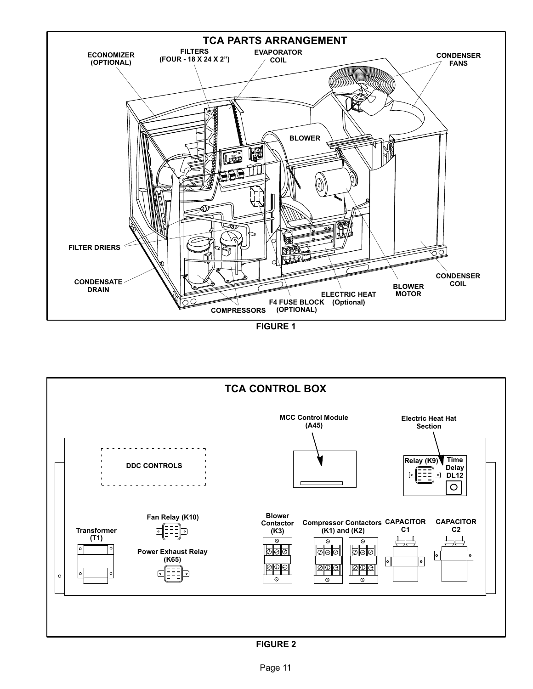<span id="page-10-0"></span>





FIGURE 2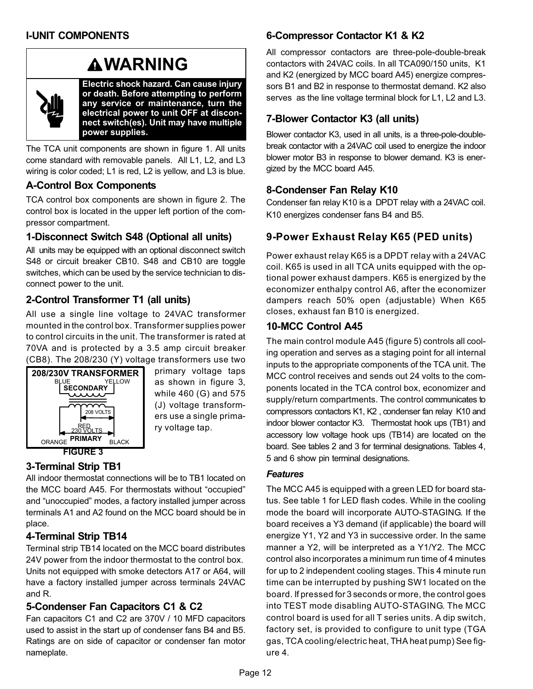# **AWARNING**



Electric shock hazard. Can cause injury or death. Before attempting to perform any service or maintenance, turn the electrical power to unit OFF at disconnect switch(es). Unit may have multiple power supplies.

The TCA unit components are shown in figure [1.](#page-10-0) All units come standard with removable panels. All L1, L2, and L3 wiring is color coded; L1 is red, L2 is yellow, and L3 is blue.

## A−Control Box Components

TCA control box components are shown in figure [2.](#page-10-0) The control box is located in the upper left portion of the compressor compartment.

## 1−Disconnect Switch S48 (Optional all units)

All units may be equipped with an optional disconnect switch S48 or circuit breaker CB10. S48 and CB10 are toggle switches, which can be used by the service technician to disconnect power to the unit.

# 2−Control Transformer T1 (all units)

All use a single line voltage to 24VAC transformer mounted in the control box. Transformer supplies power to control circuits in the unit. The transformer is rated at 70VA and is protected by a 3.5 amp circuit breaker (CB8). The 208/230 (Y) voltage transformers use two



primary voltage taps as shown in figure 3, while 460 (G) and 575 (J) voltage transformers use a single primary voltage tap.

# 3−Terminal Strip TB1

All indoor thermostat connections will be to TB1 located on the MCC board A45. For thermostats without "occupied" and "unoccupied" modes, a factory installed jumper across terminals A1 and A2 found on the MCC board should be in place.

## 4−Terminal Strip TB14

Terminal strip TB14 located on the MCC board distributes 24V power from the indoor thermostat to the control box. Units not equipped with smoke detectors A17 or A64, will have a factory installed jumper across terminals 24VAC and R.

## 5−Condenser Fan Capacitors C1 & C2

Fan capacitors C1 and C2 are 370V / 10 MFD capacitors used to assist in the start up of condenser fans B4 and B5. Ratings are on side of capacitor or condenser fan motor nameplate.

## 6−Compressor Contactor K1 & K2

All compressor contactors are three-pole-double-break contactors with 24VAC coils. In all TCA090/150 units, K1 and K2 (energized by MCC board A45) energize compressors B1 and B2 in response to thermostat demand. K2 also serves as the line voltage terminal block for L1, L2 and L3.

## 7−Blower Contactor K3 (all units)

Blower contactor K3, used in all units, is a three-pole-doublebreak contactor with a 24VAC coil used to energize the indoor blower motor B3 in response to blower demand. K3 is energized by the MCC board A45.

## 8−Condenser Fan Relay K10

Condenser fan relay K10 is a DPDT relay with a 24VAC coil. K10 energizes condenser fans B4 and B5.

# 9−Power Exhaust Relay K65 (PED units)

Power exhaust relay K65 is a DPDT relay with a 24VAC coil. K65 is used in all TCA units equipped with the optional power exhaust dampers. K65 is energized by the economizer enthalpy control A6, after the economizer dampers reach 50% open (adjustable) When K65 closes, exhaust fan B10 is energized.

## 10−MCC Control A45

The main control module A45 (figure [5](#page-12-0)) controls all cooling operation and serves as a staging point for all internal inputs to the appropriate components of the TCA unit. The MCC control receives and sends out 24 volts to the components located in the TCA control box, economizer and supply/return compartments. The control communicates to compressors contactors K1, K2 , condenser fan relay K10 and indoor blower contactor K3. Thermostat hook ups (TB1) and accessory low voltage hook ups (TB14) are located on the board. See tables [2](#page-13-0) and [3](#page-13-0) for terminal designations. Tables [4,](#page-13-0) [5](#page-13-0) and [6](#page-13-0) show pin terminal designations.

### **Features**

The MCC A45 is equipped with a green LED for board status. See table [1](#page-12-0) for LED flash codes. While in the cooling mode the board will incorporate AUTO−STAGING. If the board receives a Y3 demand (if applicable) the board will energize Y1, Y2 and Y3 in successive order. In the same manner a Y2, will be interpreted as a Y1/Y2. The MCC control also incorporates a minimum run time of 4 minutes for up to 2 independent cooling stages. This 4 minute run time can be interrupted by pushing SW1 located on the board. If pressed for 3 seconds or more, the control goes into TEST mode disabling AUTO−STAGING. The MCC control board is used for all T series units. A dip switch, factory set, is provided to configure to unit type (TGA gas, TCA cooling/electric heat, THA heat pump) See figure [4.](#page-12-0)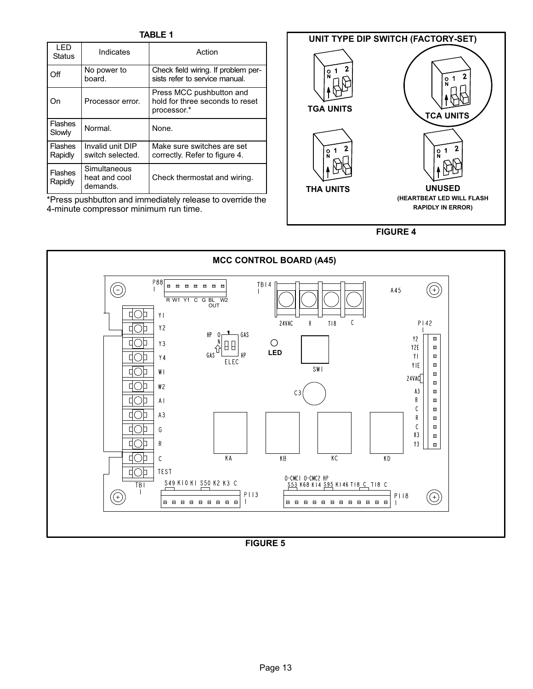TABLE 1

<span id="page-12-0"></span>

| I FD<br><b>Status</b>     | Indicates                                 | Action                                                                     |
|---------------------------|-------------------------------------------|----------------------------------------------------------------------------|
| Off                       | No power to<br>board.                     | Check field wiring. If problem per-<br>sists refer to service manual.      |
| On                        | Processor error.                          | Press MCC pushbutton and<br>hold for three seconds to reset<br>processor.* |
| <b>Flashes</b><br>Slowly  | Normal.                                   | None.                                                                      |
| <b>Flashes</b><br>Rapidly | Invalid unit DIP<br>switch selected.      | Make sure switches are set<br>correctly. Refer to figure 4.                |
| <b>Flashes</b><br>Rapidly | Simultaneous<br>heat and cool<br>demands. | Check thermostat and wiring.                                               |

\*Press pushbutton and immediately release to override the 4−minute compressor minimum run time.



FIGURE 4



FIGURE 5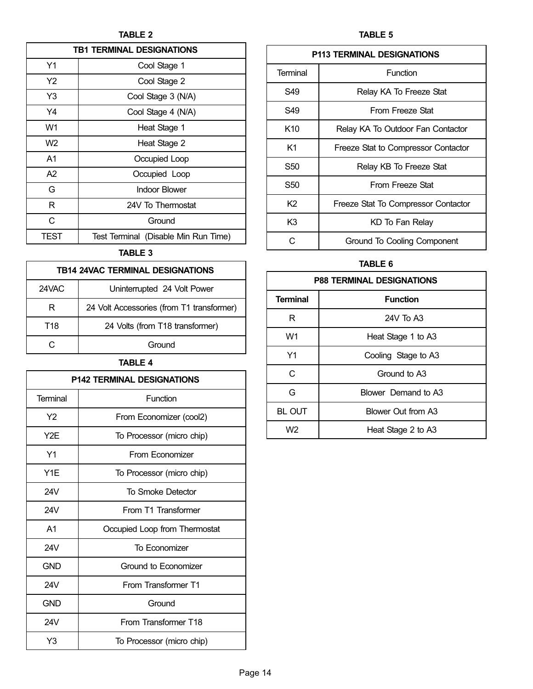TABLE 2

<span id="page-13-0"></span>

| <b>TB1 TERMINAL DESIGNATIONS</b> |                                      |  |  |  |  |
|----------------------------------|--------------------------------------|--|--|--|--|
| Y1                               | Cool Stage 1                         |  |  |  |  |
| Y2                               | Cool Stage 2                         |  |  |  |  |
| Y3                               | Cool Stage 3 (N/A)                   |  |  |  |  |
| Y4                               | Cool Stage 4 (N/A)                   |  |  |  |  |
| W1                               | Heat Stage 1                         |  |  |  |  |
| W <sub>2</sub>                   | Heat Stage 2                         |  |  |  |  |
| A1                               | Occupied Loop                        |  |  |  |  |
| A2                               | Occupied Loop                        |  |  |  |  |
| G                                | <b>Indoor Blower</b>                 |  |  |  |  |
| R                                | 24V To Thermostat                    |  |  |  |  |
| C                                | Ground                               |  |  |  |  |
| TEST                             | Test Terminal (Disable Min Run Time) |  |  |  |  |

## TABLE 3

| <b>TB14 24VAC TERMINAL DESIGNATIONS</b> |                                           |  |  |  |
|-----------------------------------------|-------------------------------------------|--|--|--|
| 24VAC                                   | Uninterrupted 24 Volt Power               |  |  |  |
| R                                       | 24 Volt Accessories (from T1 transformer) |  |  |  |
| T <sub>18</sub>                         | 24 Volts (from T18 transformer)           |  |  |  |
|                                         | Ground                                    |  |  |  |

## TABLE 4

| <b>P142 TERMINAL DESIGNATIONS</b> |                               |  |  |  |  |
|-----------------------------------|-------------------------------|--|--|--|--|
| Terminal                          | Function                      |  |  |  |  |
| Y <sub>2</sub>                    | From Economizer (cool2)       |  |  |  |  |
| Y2E                               | To Processor (micro chip)     |  |  |  |  |
| Y1                                | From Economizer               |  |  |  |  |
| Y <sub>1</sub> E                  | To Processor (micro chip)     |  |  |  |  |
| 24V                               | To Smoke Detector             |  |  |  |  |
| 24V                               | From T1 Transformer           |  |  |  |  |
| A <sub>1</sub>                    | Occupied Loop from Thermostat |  |  |  |  |
| 24V                               | To Economizer                 |  |  |  |  |
| <b>GND</b>                        | Ground to Economizer          |  |  |  |  |
| 24V                               | From Transformer T1           |  |  |  |  |
| <b>GND</b>                        | Ground                        |  |  |  |  |
| 24V                               | From Transformer T18          |  |  |  |  |
| Y3                                | To Processor (micro chip)     |  |  |  |  |

TABLE 5

| <b>P113 TERMINAL DESIGNATIONS</b> |                                     |  |  |  |  |
|-----------------------------------|-------------------------------------|--|--|--|--|
| Terminal                          | Function                            |  |  |  |  |
| S49                               | Relay KA To Freeze Stat             |  |  |  |  |
| S49                               | From Freeze Stat                    |  |  |  |  |
| K <sub>10</sub>                   | Relay KA To Outdoor Fan Contactor   |  |  |  |  |
| K1                                | Freeze Stat to Compressor Contactor |  |  |  |  |
| S50                               | Relay KB To Freeze Stat             |  |  |  |  |
| S50                               | From Freeze Stat                    |  |  |  |  |
| K <sub>2</sub>                    | Freeze Stat To Compressor Contactor |  |  |  |  |
| K3                                | KD To Fan Relay                     |  |  |  |  |
| r.                                | Ground To Cooling Component         |  |  |  |  |

## TABLE 6

| <b>P88 TERMINAL DESIGNATIONS</b> |                     |  |  |  |  |
|----------------------------------|---------------------|--|--|--|--|
| <b>Terminal</b>                  | <b>Function</b>     |  |  |  |  |
| R                                | 24V To A3           |  |  |  |  |
| W1                               | Heat Stage 1 to A3  |  |  |  |  |
| Y1                               | Cooling Stage to A3 |  |  |  |  |
| C                                | Ground to A3        |  |  |  |  |
| G                                | Blower Demand to A3 |  |  |  |  |
| <b>BL OUT</b>                    | Blower Out from A3  |  |  |  |  |
| W <sub>2</sub>                   | Heat Stage 2 to A3  |  |  |  |  |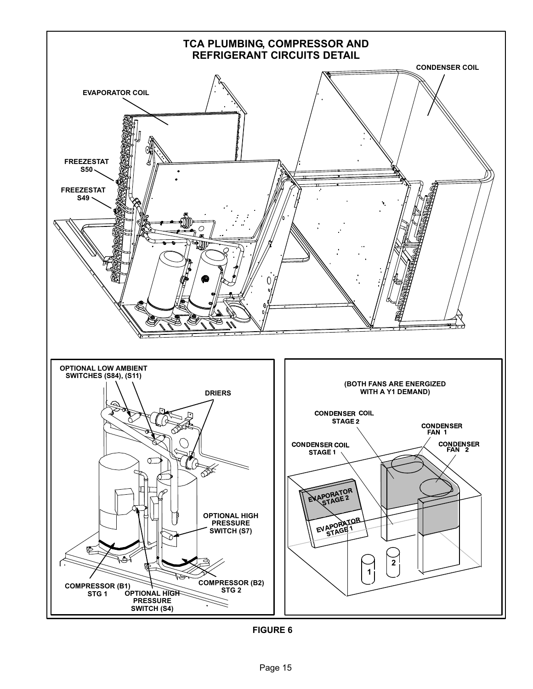<span id="page-14-0"></span>

FIGURE 6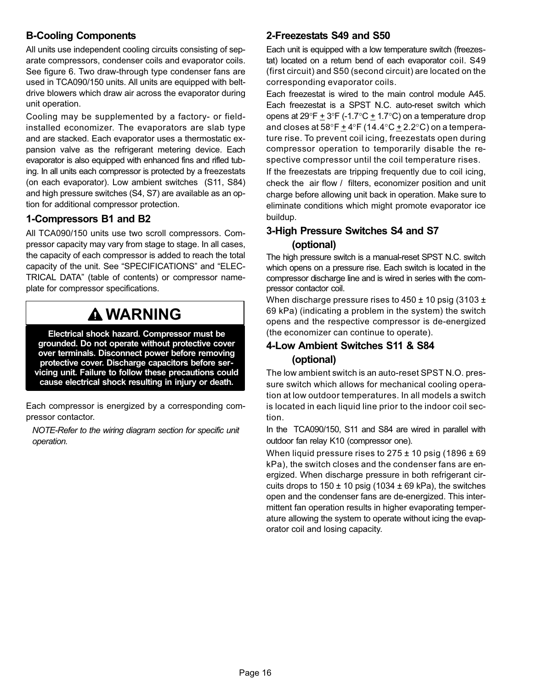## B−Cooling Components

All units use independent cooling circuits consisting of separate compressors, condenser coils and evaporator coils. See figure [6](#page-14-0). Two draw−through type condenser fans are used in TCA090/150 units. All units are equipped with beltdrive blowers which draw air across the evaporator during unit operation.

Cooling may be supplemented by a factory- or fieldinstalled economizer. The evaporators are slab type and are stacked. Each evaporator uses a thermostatic expansion valve as the refrigerant metering device. Each evaporator is also equipped with enhanced fins and rifled tubing. In all units each compressor is protected by a freezestats (on each evaporator). Low ambient switches (S11, S84) and high pressure switches (S4, S7) are available as an option for additional compressor protection.

## 1−Compressors B1 and B2

All TCA090/150 units use two scroll compressors. Compressor capacity may vary from stage to stage. In all cases, the capacity of each compressor is added to reach the total capacity of the unit. See "SPECIFICATIONS" and "ELEC-TRICAL DATA" (table of contents) or compressor nameplate for compressor specifications.

# WARNING

Electrical shock hazard. Compressor must be grounded. Do not operate without protective cover over terminals. Disconnect power before removing protective cover. Discharge capacitors before servicing unit. Failure to follow these precautions could cause electrical shock resulting in injury or death.

Each compressor is energized by a corresponding compressor contactor.

NOTE−Refer to the wiring diagram section for specific unit operation.

## 2−Freezestats S49 and S50

Each unit is equipped with a low temperature switch (freezestat) located on a return bend of each evaporator coil. S49 (first circuit) and S50 (second circuit) are located on the corresponding evaporator coils.

Each freezestat is wired to the main control module A45. Each freezestat is a SPST N.C. auto−reset switch which opens at 29°F  $\pm$  3°F (-1.7°C  $\pm$  1.7°C) on a temperature drop and closes at 58°F  $\pm$  4°F (14.4°C  $\pm$  2.2°C) on a temperature rise. To prevent coil icing, freezestats open during compressor operation to temporarily disable the respective compressor until the coil temperature rises.

If the freezestats are tripping frequently due to coil icing, check the air flow / filters, economizer position and unit charge before allowing unit back in operation. Make sure to eliminate conditions which might promote evaporator ice buildup.

## 3−High Pressure Switches S4 and S7 (optional)

The high pressure switch is a manual-reset SPST N.C. switch which opens on a pressure rise. Each switch is located in the compressor discharge line and is wired in series with the compressor contactor coil.

When discharge pressure rises to  $450 \pm 10$  psig (3103  $\pm$ 69 kPa) (indicating a problem in the system) the switch opens and the respective compressor is de−energized (the economizer can continue to operate).

## 4−Low Ambient Switches S11 & S84 (optional)

The low ambient switch is an auto-reset SPST N.O. pressure switch which allows for mechanical cooling operation at low outdoor temperatures. In all models a switch is located in each liquid line prior to the indoor coil section.

In the TCA090/150, S11 and S84 are wired in parallel with outdoor fan relay K10 (compressor one).

When liquid pressure rises to  $275 \pm 10$  psig (1896  $\pm 69$ ) kPa), the switch closes and the condenser fans are energized. When discharge pressure in both refrigerant circuits drops to  $150 \pm 10$  psig (1034  $\pm$  69 kPa), the switches open and the condenser fans are de−energized. This intermittent fan operation results in higher evaporating temperature allowing the system to operate without icing the evaporator coil and losing capacity.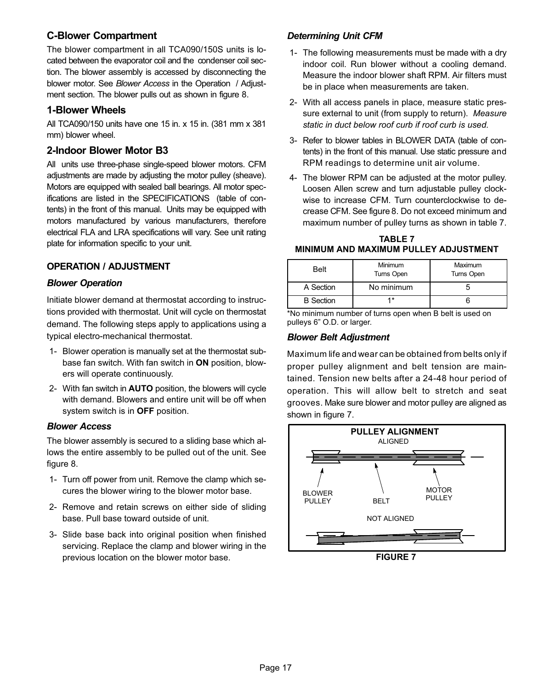## C−Blower Compartment

The blower compartment in all TCA090/150S units is located between the evaporator coil and the condenser coil section. The blower assembly is accessed by disconnecting the blower motor. See Blower Access in the Operation / Adjustment section. The blower pulls out as shown in figure [8.](#page-17-0)

## 1−Blower Wheels

All TCA090/150 units have one 15 in. x 15 in. (381 mm x 381 mm) blower wheel.

## 2−Indoor Blower Motor B3

All units use three-phase single-speed blower motors. CFM adjustments are made by adjusting the motor pulley (sheave). Motors are equipped with sealed ball bearings. All motor specifications are listed in the SPECIFICATIONS (table of contents) in the front of this manual. Units may be equipped with motors manufactured by various manufacturers, therefore electrical FLA and LRA specifications will vary. See unit rating plate for information specific to your unit.

## OPERATION / ADJUSTMENT

## Blower Operation

Initiate blower demand at thermostat according to instructions provided with thermostat. Unit will cycle on thermostat demand. The following steps apply to applications using a typical electro−mechanical thermostat.

- 1− Blower operation is manually set at the thermostat subbase fan switch. With fan switch in ON position, blowers will operate continuously.
- 2− With fan switch in AUTO position, the blowers will cycle with demand. Blowers and entire unit will be off when system switch is in OFF position.

### Blower Access

The blower assembly is secured to a sliding base which allows the entire assembly to be pulled out of the unit. See figure [8](#page-17-0).

- 1− Turn off power from unit. Remove the clamp which secures the blower wiring to the blower motor base.
- 2− Remove and retain screws on either side of sliding base. Pull base toward outside of unit.
- 3− Slide base back into original position when finished servicing. Replace the clamp and blower wiring in the previous location on the blower motor base.

## Determining Unit CFM

- 1− The following measurements must be made with a dry indoor coil. Run blower without a cooling demand. Measure the indoor blower shaft RPM. Air filters must be in place when measurements are taken.
- 2− With all access panels in place, measure static pressure external to unit (from supply to return). Measure static in duct below roof curb if roof curb is used.
- 3− Refer to blower tables in BLOWER DATA (table of contents) in the front of this manual. Use static pressure and RPM readings to determine unit air volume.
- 4− The blower RPM can be adjusted at the motor pulley. Loosen Allen screw and turn adjustable pulley clockwise to increase CFM. Turn counterclockwise to decrease CFM. See figure [8.](#page-17-0) Do not exceed minimum and maximum number of pulley turns as shown in table 7.

TABLE 7 MINIMUM AND MAXIMUM PULLEY ADJUSTMENT

| <b>Belt</b>      | Minimum<br>Turns Open | Maximum<br>Turns Open |  |  |
|------------------|-----------------------|-----------------------|--|--|
| A Section        | No minimum            |                       |  |  |
| <b>B</b> Section | 4*                    |                       |  |  |

\*No minimum number of turns open when B belt is used on pulleys 6" O.D. or larger.

## Blower Belt Adjustment

Maximum life and wear can be obtained from belts only if proper pulley alignment and belt tension are maintained. Tension new belts after a 24−48 hour period of operation. This will allow belt to stretch and seat grooves. Make sure blower and motor pulley are aligned as shown in figure 7.



FIGURE 7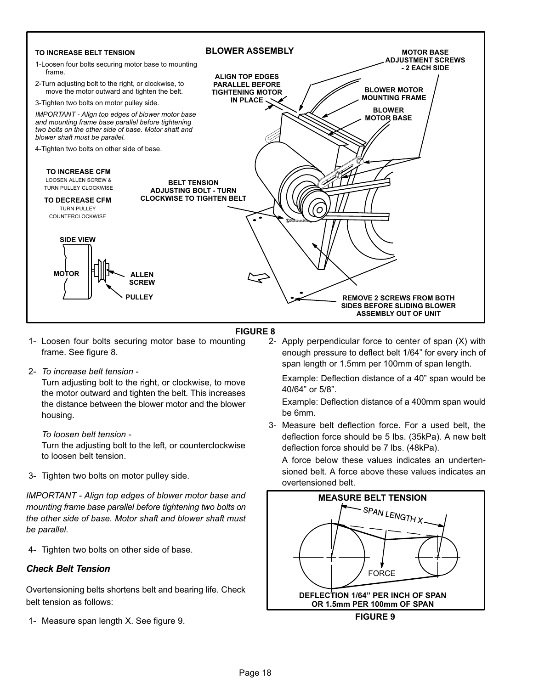<span id="page-17-0"></span>

#### FIGURE 8

- 1− Loosen four bolts securing motor base to mounting frame. See figure 8.
- 2− To increase belt tension −

Turn adjusting bolt to the right, or clockwise, to move the motor outward and tighten the belt. This increases the distance between the blower motor and the blower housing.

#### To loosen belt tension −

Turn the adjusting bolt to the left, or counterclockwise to loosen belt tension.

3− Tighten two bolts on motor pulley side.

IMPORTANT − Align top edges of blower motor base and mounting frame base parallel before tightening two bolts on the other side of base. Motor shaft and blower shaft must be parallel.

4− Tighten two bolts on other side of base.

### Check Belt Tension

Overtensioning belts shortens belt and bearing life. Check belt tension as follows:

1− Measure span length X. See figure 9.

 2− Apply perpendicular force to center of span (X) with enough pressure to deflect belt 1/64" for every inch of span length or 1.5mm per 100mm of span length.

Example: Deflection distance of a 40" span would be 40/64" or 5/8".

Example: Deflection distance of a 400mm span would be 6mm.

 3− Measure belt deflection force. For a used belt, the deflection force should be 5 lbs. (35kPa). A new belt deflection force should be 7 lbs. (48kPa).

A force below these values indicates an undertensioned belt. A force above these values indicates an overtensioned belt.



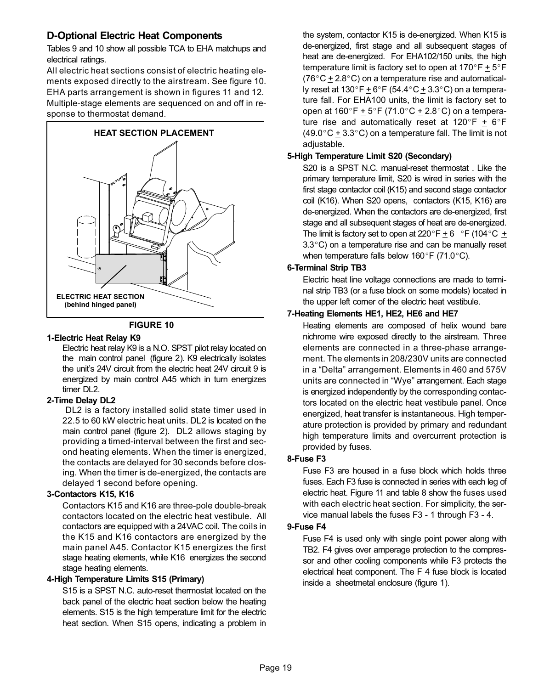## D−Optional Electric Heat Components

Tables [9](#page-21-0) and [10](#page-22-0) show all possible TCA to EHA matchups and electrical ratings.

All electric heat sections consist of electric heating elements exposed directly to the airstream. See figure 10. EHA parts arrangement is shown in figures [11](#page-20-0) and [12.](#page-20-0) Multiple-stage elements are sequenced on and off in response to thermostat demand.





#### 1−Electric Heat Relay K9

Electric heat relay K9 is a N.O. SPST pilot relay located on the main control panel (figure [2\)](#page-10-0). K9 electrically isolates the unit's 24V circuit from the electric heat 24V circuit 9 is energized by main control A45 which in turn energizes timer DL2.

### 2−Time Delay DL2

 DL2 is a factory installed solid state timer used in 22.5 to 60 kW electric heat units. DL2 is located on the main control panel (figure [2](#page-10-0)). DL2 allows staging by providing a timed−interval between the first and second heating elements. When the timer is energized, the contacts are delayed for 30 seconds before closing. When the timer is de−energized, the contacts are delayed 1 second before opening.

#### 3−Contactors K15, K16

Contactors K15 and K16 are three−pole double−break contactors located on the electric heat vestibule. All contactors are equipped with a 24VAC coil. The coils in the K15 and K16 contactors are energized by the main panel A45. Contactor K15 energizes the first stage heating elements, while K16 energizes the second stage heating elements.

#### 4−High Temperature Limits S15 (Primary)

S15 is a SPST N.C. auto-reset thermostat located on the back panel of the electric heat section below the heating elements. S15 is the high temperature limit for the electric heat section. When S15 opens, indicating a problem in the system, contactor K15 is de-energized. When K15 is de-energized, first stage and all subsequent stages of heat are de-energized. For EHA102/150 units, the high temperature limit is factory set to open at 170 $^{\circ}$ F  $\pm$  5 $^{\circ}$ F  $(76^{\circ} \text{C} \pm 2.8^{\circ} \text{C})$  on a temperature rise and automatically reset at 130°F  $\pm$  6°F (54.4°C $\pm$  3.3°C) on a temperature fall. For EHA100 units, the limit is factory set to open at  $160^{\circ}$ F  $\pm$  5 $^{\circ}$ F (71.0 $^{\circ}$ C  $\pm$  2.8 $^{\circ}$ C) on a temperature rise and automatically reset at  $120^{\circ}F + 6^{\circ}F$  $(49.0\degree \text{C} + 3.3\degree \text{C})$  on a temperature fall. The limit is not adjustable.

#### 5−High Temperature Limit S20 (Secondary)

S20 is a SPST N.C. manual-reset thermostat . Like the primary temperature limit, S20 is wired in series with the first stage contactor coil (K15) and second stage contactor coil (K16). When S20 opens, contactors (K15, K16) are de-energized. When the contactors are de-energized, first stage and all subsequent stages of heat are de-energized. The limit is factory set to open at 220 $\mathrm{^{\circ}F}$   $\pm$  6  $\mathrm{^{\circ}F}$  (104 $\mathrm{^{\circ}C}$   $\pm$ 3.3°C) on a temperature rise and can be manually reset when temperature falls below  $160^{\circ}$ F (71.0 $^{\circ}$ C).

#### 6−Terminal Strip TB3

Electric heat line voltage connections are made to terminal strip TB3 (or a fuse block on some models) located in the upper left corner of the electric heat vestibule.

### 7−Heating Elements HE1, HE2, HE6 and HE7

Heating elements are composed of helix wound bare nichrome wire exposed directly to the airstream. Three elements are connected in a three-phase arrangement. The elements in 208/230V units are connected in a "Delta" arrangement. Elements in 460 and 575V units are connected in "Wye" arrangement. Each stage is energized independently by the corresponding contactors located on the electric heat vestibule panel. Once energized, heat transfer is instantaneous. High temperature protection is provided by primary and redundant high temperature limits and overcurrent protection is provided by fuses.

#### 8−Fuse F3

Fuse F3 are housed in a fuse block which holds three fuses. Each F3 fuse is connected in series with each leg of electric heat. Figure [11](#page-20-0) and table [8](#page-19-0) show the fuses used with each electric heat section. For simplicity, the service manual labels the fuses F3 − 1 through F3 − 4.

#### 9−Fuse F4

Fuse F4 is used only with single point power along with TB2. F4 gives over amperage protection to the compressor and other cooling components while F3 protects the electrical heat component. The F 4 fuse block is located inside a sheetmetal enclosure (figure [1](#page-10-0)).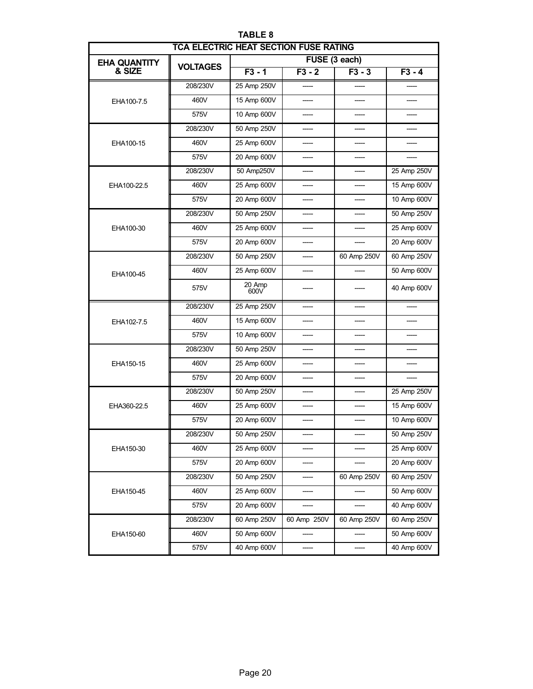<span id="page-19-0"></span>

| <b>TCA ELECTRIC HEAT SECTION FUSE RATING</b> |                 |                |             |             |                                                                                                                                                 |  |  |  |
|----------------------------------------------|-----------------|----------------|-------------|-------------|-------------------------------------------------------------------------------------------------------------------------------------------------|--|--|--|
| <b>EHA QUANTITY</b>                          | <b>VOLTAGES</b> | FUSE (3 each)  |             |             |                                                                                                                                                 |  |  |  |
| & SIZE                                       |                 | $F3 - 1$       | $F3 - 2$    | $F3 - 3$    | $F3 - 4$<br>25 Amp 250V<br>15 Amp 600V<br>10 Amp 600V<br>50 Amp 250V<br>25 Amp 600V<br>20 Amp 600V<br>60 Amp 250V<br>50 Amp 600V<br>40 Amp 600V |  |  |  |
|                                              | 208/230V        | 25 Amp 250V    |             |             |                                                                                                                                                 |  |  |  |
| EHA100-7.5                                   | 460V            | 15 Amp 600V    |             |             |                                                                                                                                                 |  |  |  |
|                                              | 575V            | 10 Amp 600V    | ----        |             |                                                                                                                                                 |  |  |  |
|                                              | 208/230V        | 50 Amp 250V    |             |             |                                                                                                                                                 |  |  |  |
| EHA100-15                                    | 460V            | 25 Amp 600V    |             |             |                                                                                                                                                 |  |  |  |
|                                              | 575V            | 20 Amp 600V    |             |             |                                                                                                                                                 |  |  |  |
|                                              | 208/230V        | 50 Amp250V     |             |             |                                                                                                                                                 |  |  |  |
| EHA100-22.5                                  | 460V            | 25 Amp 600V    |             |             |                                                                                                                                                 |  |  |  |
|                                              | 575V            | 20 Amp 600V    |             |             |                                                                                                                                                 |  |  |  |
|                                              | 208/230V        | 50 Amp 250V    |             |             |                                                                                                                                                 |  |  |  |
| EHA100-30                                    | 460V            | 25 Amp 600V    |             |             |                                                                                                                                                 |  |  |  |
|                                              | 575V            | 20 Amp 600V    |             |             |                                                                                                                                                 |  |  |  |
|                                              | 208/230V        | 50 Amp 250V    |             | 60 Amp 250V |                                                                                                                                                 |  |  |  |
| EHA100-45                                    | 460V            | 25 Amp 600V    |             |             |                                                                                                                                                 |  |  |  |
|                                              | 575V            | 20 Amp<br>600V |             |             |                                                                                                                                                 |  |  |  |
|                                              | 208/230V        | 25 Amp 250V    |             |             |                                                                                                                                                 |  |  |  |
| EHA102-7.5                                   | 460V            | 15 Amp 600V    |             |             |                                                                                                                                                 |  |  |  |
|                                              | 575V            | 10 Amp 600V    |             |             |                                                                                                                                                 |  |  |  |
|                                              | 208/230V        | 50 Amp 250V    |             |             |                                                                                                                                                 |  |  |  |
| EHA150-15                                    | 460V            | 25 Amp 600V    |             |             |                                                                                                                                                 |  |  |  |
|                                              | 575V            | 20 Amp 600V    |             |             |                                                                                                                                                 |  |  |  |
|                                              | 208/230V        | 50 Amp 250V    |             |             | 25 Amp 250V                                                                                                                                     |  |  |  |
| EHA360-22.5                                  | 460V            | 25 Amp 600V    |             |             | 15 Amp 600V                                                                                                                                     |  |  |  |
|                                              | 575V            | 20 Amp 600V    |             |             | 10 Amp 600V                                                                                                                                     |  |  |  |
|                                              | 208/230V        | 50 Amp 250V    |             |             | 50 Amp 250V                                                                                                                                     |  |  |  |
| EHA150-30                                    | 460V            | 25 Amp 600V    |             |             | 25 Amp 600V                                                                                                                                     |  |  |  |
|                                              | 575V            | 20 Amp 600V    |             |             | 20 Amp 600V                                                                                                                                     |  |  |  |
|                                              | 208/230V        | 50 Amp 250V    |             | 60 Amp 250V | 60 Amp 250V                                                                                                                                     |  |  |  |
| EHA150-45                                    | 460V            | 25 Amp 600V    |             |             | 50 Amp 600V                                                                                                                                     |  |  |  |
|                                              | 575V            | 20 Amp 600V    |             |             | 40 Amp 600V                                                                                                                                     |  |  |  |
|                                              | 208/230V        | 60 Amp 250V    | 60 Amp 250V | 60 Amp 250V | 60 Amp 250V                                                                                                                                     |  |  |  |
| EHA150-60                                    | 460V            | 50 Amp 600V    |             |             | 50 Amp 600V                                                                                                                                     |  |  |  |
|                                              | 575V            | 40 Amp 600V    |             |             | 40 Amp 600V                                                                                                                                     |  |  |  |

TABLE 8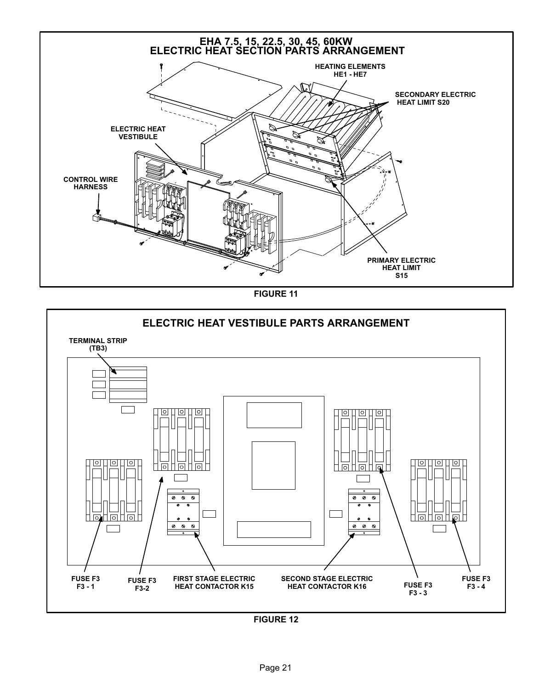<span id="page-20-0"></span>

FIGURE 11

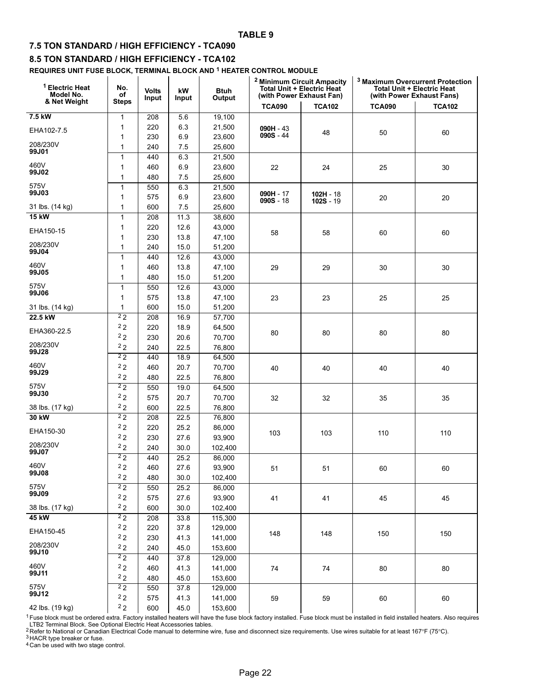#### TABLE 9

### <span id="page-21-0"></span>7.5 TON STANDARD / HIGH EFFICIENCY − TCA090

#### 8.5 TON STANDARD / HIGH EFFICIENCY − TCA102

REQUIRES UNIT FUSE BLOCK, TERMINAL BLOCK AND <sup>1</sup> HEATER CONTROL MODULE

| <sup>1</sup> Electric Heat<br>Model No. | No.<br>of      | <b>Volts</b><br>Input | kW<br>Input       | <b>Btuh</b><br>Output | <sup>2</sup> Minimum Circuit Ampacity<br><b>Total Unit + Electric Heat</b><br>(with Power Exhaust Fan) |               | <sup>3</sup> Maximum Overcurrent Protection<br><b>Total Unit + Electric Heat</b><br>(with Power Exhaust Fans) |               |
|-----------------------------------------|----------------|-----------------------|-------------------|-----------------------|--------------------------------------------------------------------------------------------------------|---------------|---------------------------------------------------------------------------------------------------------------|---------------|
| & Net Weight                            | <b>Steps</b>   |                       |                   |                       | <b>TCA090</b>                                                                                          | <b>TCA102</b> | <b>TCA090</b>                                                                                                 | <b>TCA102</b> |
| 7.5 kW                                  | $\mathbf{1}$   | 208                   | 5.6               | 19,100                |                                                                                                        |               |                                                                                                               |               |
| EHA102-7.5                              | 1              | 220                   | 6.3               | 21,500                | $090H - 43$                                                                                            |               |                                                                                                               |               |
|                                         | 1              | 230                   | 6.9               | 23,600                | $090S - 44$                                                                                            | 48            | 50                                                                                                            | 60            |
| 208/230V                                | 1              | 240                   | 7.5               | 25,600                |                                                                                                        |               |                                                                                                               |               |
| 99J01                                   | $\mathbf{1}$   | 440                   | 6.3               | 21,500                |                                                                                                        |               |                                                                                                               |               |
| 460V                                    | 1              | 460                   | 6.9               | 23,600                | 22                                                                                                     | 24            | 25                                                                                                            | 30            |
| 99J02                                   | 1              | 480                   | 7.5               | 25,600                |                                                                                                        |               |                                                                                                               |               |
| 575V                                    | 1              | 550                   | 6.3               | 21,500                |                                                                                                        |               |                                                                                                               |               |
| 99J03                                   | $\mathbf{1}$   | 575                   | 6.9               | 23,600                | $090H - 17$<br>$090S - 18$                                                                             | $102H - 18$   | 20                                                                                                            | 20            |
| 31 lbs. (14 kg)                         | $\mathbf{1}$   | 600                   | 7.5               | 25,600                |                                                                                                        | $102S - 19$   |                                                                                                               |               |
| <b>15 kW</b>                            | $\mathbf{1}$   | 208                   | 11.3              | 38,600                |                                                                                                        |               |                                                                                                               |               |
|                                         | 1              | 220                   | 12.6              | 43,000                |                                                                                                        |               |                                                                                                               |               |
| EHA150-15                               | 1              | 230                   | 13.8              | 47,100                | 58                                                                                                     | 58            | 60                                                                                                            | 60            |
| 208/230V                                | 1              | 240                   | 15.0              | 51,200                |                                                                                                        |               |                                                                                                               |               |
| 99J04                                   | $\mathbf{1}$   | 440                   | 12.6              | 43,000                |                                                                                                        |               |                                                                                                               |               |
| 460V                                    | 1              | 460                   | 13.8              | 47,100                | 29                                                                                                     | 29            | 30                                                                                                            | 30            |
| 99J05                                   | 1              | 480                   | 15.0              | 51,200                |                                                                                                        |               |                                                                                                               |               |
| 575V                                    | $\mathbf{1}$   | 550                   | 12.6              | 43,000                |                                                                                                        |               |                                                                                                               |               |
| 99J06                                   | 1              | 575                   | 13.8              | 47,100                | 23                                                                                                     | 23            | 25                                                                                                            | 25            |
| 31 lbs. (14 kg)                         | 1              | 600                   | 15.0              | 51,200                |                                                                                                        |               |                                                                                                               |               |
| 22.5 kW                                 | 2 <sub>2</sub> | 208                   | 16.9              | 57,700                |                                                                                                        |               |                                                                                                               |               |
|                                         | 2 <sub>2</sub> | 220                   | 18.9              | 64,500                |                                                                                                        |               |                                                                                                               |               |
| EHA360-22.5                             | 22             | 230                   | 20.6              | 70,700                | 80                                                                                                     | 80            | 80                                                                                                            | 80            |
| 208/230V                                | 22             | 240                   | 22.5              | 76,800                |                                                                                                        |               |                                                                                                               |               |
| 99J28                                   | 2 <sub>2</sub> |                       |                   |                       |                                                                                                        |               |                                                                                                               |               |
| 460V                                    | 2 <sub>2</sub> | 440                   | 18.9              | 64,500                |                                                                                                        |               |                                                                                                               |               |
| 99J29                                   | 22             | 460                   | 20.7              | 70,700                | 40                                                                                                     | 40            | 40                                                                                                            | 40            |
|                                         |                | 480                   | 22.5              | 76,800                |                                                                                                        |               |                                                                                                               |               |
| 575V<br>99J30                           | $^{2}2$        | 550                   | 19.0              | 64,500                |                                                                                                        |               |                                                                                                               |               |
|                                         | 22             | 575                   | 20.7              | 70,700                | 32                                                                                                     | 32            | 35                                                                                                            | 35            |
| 38 lbs. (17 kg)                         | 2 <sub>2</sub> | 600                   | 22.5              | 76,800                |                                                                                                        |               |                                                                                                               |               |
| 30 kW                                   | 2 <sub>2</sub> | 208                   | 22.5              | 76,800                |                                                                                                        |               |                                                                                                               |               |
| EHA150-30                               | 22             | 220                   | 25.2              | 86,000                | 103                                                                                                    | 103           | 110                                                                                                           | 110           |
| 208/230V                                | 22             | 230                   | 27.6              | 93,900                |                                                                                                        |               |                                                                                                               |               |
| 99J07                                   | 2 <sub>2</sub> | 240                   | 30.0              | 102,400               |                                                                                                        |               |                                                                                                               |               |
|                                         | 2 <sub>2</sub> | 440                   | 25.2              | 86,000                |                                                                                                        |               |                                                                                                               |               |
| 460V<br>99J08                           | 2 <sub>2</sub> | 460                   | 27.6              | 93,900                | 51                                                                                                     | 51            | 60                                                                                                            | 60            |
|                                         | 22             | 480                   | 30.0              | 102,400               |                                                                                                        |               |                                                                                                               |               |
| 575V<br>99J09                           | 2 <sub>2</sub> | 550                   | 25.2              | 86,000                |                                                                                                        |               |                                                                                                               |               |
|                                         | 22             | 575                   | 27.6              | 93,900                | 41                                                                                                     | 41            | 45                                                                                                            | 45            |
| 38 lbs. (17 kg)                         | 22             | 600                   | 30.0              | 102,400               |                                                                                                        |               |                                                                                                               |               |
| 45 kW                                   | 2 <sub>2</sub> | 208                   | 33.8              | 115,300               |                                                                                                        |               |                                                                                                               |               |
| EHA150-45                               | 22             | 220                   | 37.8              | 129,000               | 148                                                                                                    | 148           | 150                                                                                                           | 150           |
|                                         | 22             | 230                   | 41.3              | 141,000               |                                                                                                        |               |                                                                                                               |               |
| 208/230V<br>99J10                       | 22             | 240                   | 45.0              | 153,600               |                                                                                                        |               |                                                                                                               |               |
|                                         | 2 <sub>2</sub> | 440                   | $\overline{37.8}$ | 129,000               |                                                                                                        |               |                                                                                                               |               |
| 460V                                    | 2 <sub>2</sub> | 460                   | 41.3              | 141,000               | 74                                                                                                     | 74            | 80                                                                                                            | 80            |
| 99J11                                   | 22             | 480                   | 45.0              | 153,600               |                                                                                                        |               |                                                                                                               |               |
| 575V                                    | 2 <sub>2</sub> | 550                   | $\overline{37.8}$ | 129,000               |                                                                                                        |               |                                                                                                               |               |
| 99J12                                   | 22             | 575                   | 41.3              | 141,000               | 59                                                                                                     | 59            | 60                                                                                                            | 60            |
| 42 lbs. (19 kg)                         | 2 <sub>2</sub> | 600                   | 45.0              | 153,600               |                                                                                                        |               |                                                                                                               |               |

<sup>1</sup>Fuse block must be ordered extra. Factory installed heaters will have the fuse block factory installed. Fuse block must be installed in field installed heaters. Also requires

LTB2 Terminal Block. See Optional Electric Heat Accessories tables.<br><sup>2</sup> Refer to National or Canadian Electrical Code manual to determine wire, fuse and disconnect size requirements. Use wires suitable for at least 167°F

3 HACR type breaker or fuse.

4 Can be used with two stage control.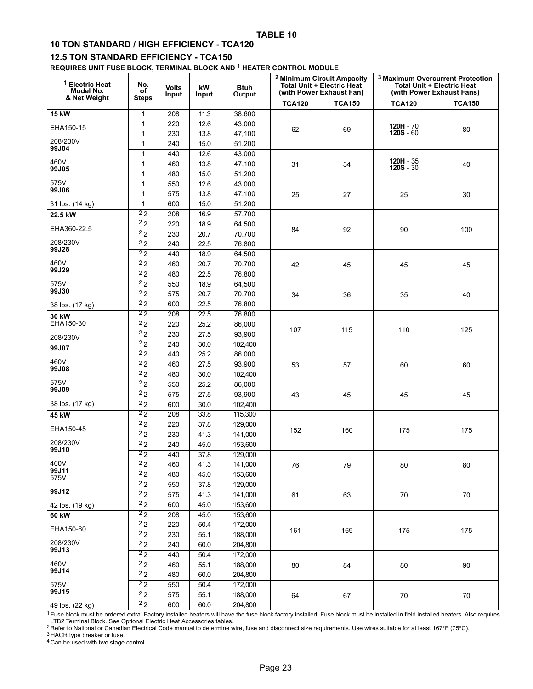### <span id="page-22-0"></span>10 TON STANDARD / HIGH EFFICIENCY − TCA120

#### 12.5 TON STANDARD EFFICIENCY - TCA150

REQUIRES UNIT FUSE BLOCK, TERMINAL BLOCK AND <sup>1</sup> HEATER CONTROL MODULE

| <sup>1</sup> Electric Heat<br>Model No.<br>& Net Weight | No.<br>οf<br><b>Steps</b> | <b>Volts</b><br>Input | kW<br>Input  | <b>Btuh</b><br>Output | <sup>2</sup> Minimum Circuit Ampacity<br><b>Total Unit + Electric Heat</b><br>(with Power Exhaust Fan) |               | <sup>3</sup> Maximum Overcurrent Protection<br><b>Total Unit + Electric Heat</b><br>(with Power Exhaust Fans) |               |
|---------------------------------------------------------|---------------------------|-----------------------|--------------|-----------------------|--------------------------------------------------------------------------------------------------------|---------------|---------------------------------------------------------------------------------------------------------------|---------------|
|                                                         |                           |                       |              |                       | <b>TCA120</b>                                                                                          | <b>TCA150</b> | <b>TCA120</b>                                                                                                 | <b>TCA150</b> |
| <b>15 kW</b>                                            | 1                         | 208                   | 11.3         | 38,600                |                                                                                                        |               |                                                                                                               |               |
| EHA150-15                                               | 1                         | 220                   | 12.6         | 43,000                | 62                                                                                                     | 69            | $120H - 70$                                                                                                   | 80            |
|                                                         | 1                         | 230                   | 13.8         | 47,100                |                                                                                                        |               | $120S - 60$                                                                                                   |               |
| 208/230V<br>99J04                                       | 1                         | 240                   | 15.0         | 51,200                |                                                                                                        |               |                                                                                                               |               |
|                                                         | $\mathbf{1}$              | 440                   | 12.6         | 43,000                |                                                                                                        |               |                                                                                                               |               |
| 460V<br>99J05                                           | 1                         | 460                   | 13.8         | 47,100                | 31                                                                                                     | 34            | $120H - 35$<br>$120S - 30$                                                                                    | 40            |
|                                                         | 1                         | 480                   | 15.0         | 51,200                |                                                                                                        |               |                                                                                                               |               |
| 575V<br>99J06                                           | $\mathbf{1}$              | 550                   | 12.6         | 43,000                |                                                                                                        |               |                                                                                                               |               |
|                                                         | 1                         | 575                   | 13.8         | 47,100                | 25                                                                                                     | 27            | 25                                                                                                            | 30            |
| 31 lbs. (14 kg)                                         | 1                         | 600                   | 15.0         | 51,200                |                                                                                                        |               |                                                                                                               |               |
| 22.5 kW                                                 | $^{2}2$                   | 208                   | 16.9         | 57,700                |                                                                                                        |               |                                                                                                               |               |
| EHA360-22.5                                             | 22                        | 220                   | 18.9         | 64,500                | 84                                                                                                     | 92            | 90                                                                                                            | 100           |
| 208/230V                                                | 22                        | 230                   | 20.7         | 70,700                |                                                                                                        |               |                                                                                                               |               |
| 99J28                                                   | 22<br>2 <sub>2</sub>      | 240                   | 22.5         | 76,800                |                                                                                                        |               |                                                                                                               |               |
|                                                         |                           | 440                   | 18.9         | 64,500                |                                                                                                        |               |                                                                                                               |               |
| 460V<br>99J29                                           | 22<br>2 <sub>2</sub>      | 460                   | 20.7         | 70,700                | 42                                                                                                     | 45            | 45                                                                                                            | 45            |
|                                                         | 2 <sub>2</sub>            | 480                   | 22.5         | 76,800                |                                                                                                        |               |                                                                                                               |               |
| 575V<br>99J30                                           | 22                        | 550<br>575            | 18.9<br>20.7 | 64,500                |                                                                                                        |               |                                                                                                               |               |
|                                                         | 2 <sub>2</sub>            | 600                   | 22.5         | 70,700<br>76,800      | 34                                                                                                     | 36            | 35                                                                                                            | 40            |
| 38 lbs. (17 kg)                                         | 2 <sub>2</sub>            | 208                   | 22.5         | 76,800                |                                                                                                        |               |                                                                                                               |               |
| 30 kW<br>EHA150-30                                      | 2 <sub>2</sub>            | 220                   | 25.2         | 86,000                |                                                                                                        |               |                                                                                                               |               |
|                                                         | 2 <sub>2</sub>            | 230                   | 27.5         | 93,900                | 107                                                                                                    | 115           | 110                                                                                                           | 125           |
| 208/230V                                                | 22                        | 240                   | 30.0         | 102,400               |                                                                                                        |               |                                                                                                               |               |
| 99J07                                                   | 2 <sub>2</sub>            | 440                   | 25.2         | 86,000                |                                                                                                        |               |                                                                                                               |               |
| 460V                                                    | 22                        | 460                   | 27.5         | 93,900                | 53                                                                                                     | 57            | 60                                                                                                            | 60            |
| 99J08                                                   | 22                        | 480                   | 30.0         | 102,400               |                                                                                                        |               |                                                                                                               |               |
| 575V                                                    | 2 <sub>2</sub>            | 550                   | 25.2         | 86,000                |                                                                                                        |               |                                                                                                               |               |
| 99J09                                                   | 22                        | 575                   | 27.5         | 93,900                | 43                                                                                                     | 45            | 45                                                                                                            | 45            |
| 38 lbs. (17 kg)                                         | 2 <sub>2</sub>            | 600                   | 30.0         | 102,400               |                                                                                                        |               |                                                                                                               |               |
| 45 kW                                                   | 2 <sub>2</sub>            | 208                   | 33.8         | 115,300               |                                                                                                        |               |                                                                                                               |               |
|                                                         | 22                        | 220                   | 37.8         | 129,000               |                                                                                                        |               |                                                                                                               |               |
| EHA150-45                                               | 22                        | 230                   | 41.3         | 141,000               | 152                                                                                                    | 160           | 175                                                                                                           | 175           |
| 208/230V                                                | 22                        | 240                   | 45.0         | 153,600               |                                                                                                        |               |                                                                                                               |               |
| 99J10                                                   | 2 <sub>2</sub>            | 440                   | 37.8         | 129,000               |                                                                                                        |               |                                                                                                               |               |
| 460V                                                    | 22                        | 460                   | 41.3         | 141,000               | 76                                                                                                     | 79            | 80                                                                                                            | 80            |
| 99J11<br>575V                                           | 22                        | 480                   | 45.0         | 153,600               |                                                                                                        |               |                                                                                                               |               |
|                                                         | $\overline{22}$           | 550                   | 37.8         | 129,000               |                                                                                                        |               |                                                                                                               |               |
| 99J12                                                   | 2 <sub>2</sub>            | 575                   | 41.3         | 141,000               | 61                                                                                                     | 63            | 70                                                                                                            | $70\,$        |
| 42 lbs. (19 kg)                                         | 22                        | 600                   | 45.0         | 153,600               |                                                                                                        |               |                                                                                                               |               |
| 60 kW                                                   | $\overline{22}$           | 208                   | 45.0         | 153,600               |                                                                                                        |               |                                                                                                               |               |
| EHA150-60                                               | 22                        | 220                   | 50.4         | 172,000               | 161                                                                                                    | 169           | 175                                                                                                           | 175           |
|                                                         | 22                        | 230                   | 55.1         | 188,000               |                                                                                                        |               |                                                                                                               |               |
| 208/230V<br>99J13                                       | $^2$ 2 $\,$               | 240                   | 60.0         | 204,800               |                                                                                                        |               |                                                                                                               |               |
|                                                         | 2 <sub>2</sub>            | 440                   | 50.4         | 172,000               |                                                                                                        |               |                                                                                                               |               |
| 460V<br>99J14                                           | 22                        | 460                   | 55.1         | 188,000               | 80                                                                                                     | 84            | 80                                                                                                            | 90            |
|                                                         | 22                        | 480                   | 60.0         | 204,800               |                                                                                                        |               |                                                                                                               |               |
| 575V<br>99J15                                           | 2 <sub>2</sub>            | 550                   | 50.4         | 172,000               |                                                                                                        |               |                                                                                                               |               |
|                                                         | 22                        | 575                   | 55.1         | 188,000               | 64                                                                                                     | 67            | 70                                                                                                            | 70            |
| 49 lbs. (22 kg)                                         | 2 <sub>2</sub>            | 600                   | 60.0         | 204,800               |                                                                                                        |               |                                                                                                               |               |

<sup>1</sup> Fuse block must be ordered extra. Factory installed heaters will have the fuse block factory installed. Fuse block must be installed in field installed heaters. Also requires

LTB2 Terminal Block. See Optional Electric Heat Accessories tables.<br><sup>2</sup> Refer to National or Canadian Electrical Code manual to determine wire, fuse and disconnect size requirements. Use wires suitable for at least 167°F

<sup>3</sup> HACR type breaker or fuse.

4 Can be used with two stage control.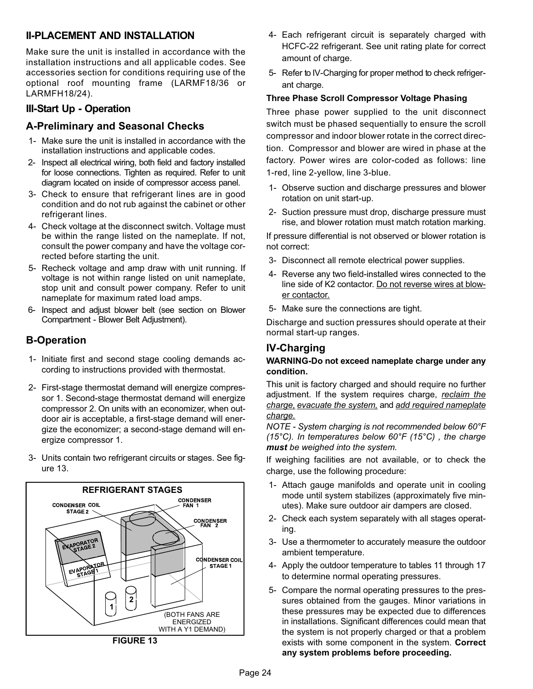## II−PLACEMENT AND INSTALLATION

Make sure the unit is installed in accordance with the installation instructions and all applicable codes. See accessories section for conditions requiring use of the optional roof mounting frame (LARMF18/36 or LARMFH18/24).

## III−Start Up − Operation

## A−Preliminary and Seasonal Checks

- 1− Make sure the unit is installed in accordance with the installation instructions and applicable codes.
- 2− Inspect all electrical wiring, both field and factory installed for loose connections. Tighten as required. Refer to unit diagram located on inside of compressor access panel.
- 3− Check to ensure that refrigerant lines are in good condition and do not rub against the cabinet or other refrigerant lines.
- 4− Check voltage at the disconnect switch. Voltage must be within the range listed on the nameplate. If not, consult the power company and have the voltage corrected before starting the unit.
- 5− Recheck voltage and amp draw with unit running. If voltage is not within range listed on unit nameplate, stop unit and consult power company. Refer to unit nameplate for maximum rated load amps.
- 6− Inspect and adjust blower belt (see section on Blower Compartment − Blower Belt Adjustment).

## B−Operation

- 1− Initiate first and second stage cooling demands according to instructions provided with thermostat.
- 2− First−stage thermostat demand will energize compressor 1. Second−stage thermostat demand will energize compressor 2. On units with an economizer, when outdoor air is acceptable, a first−stage demand will energize the economizer; a second−stage demand will energize compressor 1.
- 3− Units contain two refrigerant circuits or stages. See figure 13.



FIGURE 13

- 4− Each refrigerant circuit is separately charged with HCFC-22 refrigerant. See unit rating plate for correct amount of charge.
- 5− Refer to IV−Charging for proper method to check refrigerant charge.

#### Three Phase Scroll Compressor Voltage Phasing

Three phase power supplied to the unit disconnect switch must be phased sequentially to ensure the scroll compressor and indoor blower rotate in the correct direction. Compressor and blower are wired in phase at the factory. Power wires are color−coded as follows: line 1−red, line 2−yellow, line 3−blue.

- 1− Observe suction and discharge pressures and blower rotation on unit start−up.
- 2− Suction pressure must drop, discharge pressure must rise, and blower rotation must match rotation marking.

If pressure differential is not observed or blower rotation is not correct:

- 3− Disconnect all remote electrical power supplies.
- 4− Reverse any two field−installed wires connected to the line side of K2 contactor. Do not reverse wires at blower contactor.
- 5− Make sure the connections are tight.

Discharge and suction pressures should operate at their normal start-up ranges.

## IV−Charging

#### WARNING−Do not exceed nameplate charge under any condition.

This unit is factory charged and should require no further adjustment. If the system requires charge, reclaim the charge, evacuate the system, and add required nameplate charge.

NOTE − System charging is not recommended below 60°F (15°C). In temperatures below  $60^{\circ}F$  (15°C), the charge must be weighed into the system.

If weighing facilities are not available, or to check the charge, use the following procedure:

- 1− Attach gauge manifolds and operate unit in cooling mode until system stabilizes (approximately five minutes). Make sure outdoor air dampers are closed.
- 2− Check each system separately with all stages operating.
- 3− Use a thermometer to accurately measure the outdoor ambient temperature.
- 4− Apply the outdoor temperature to tables [11](#page-24-0) through [17](#page-24-0) to determine normal operating pressures.
- 5− Compare the normal operating pressures to the pressures obtained from the gauges. Minor variations in these pressures may be expected due to differences in installations. Significant differences could mean that the system is not properly charged or that a problem exists with some component in the system. Correct any system problems before proceeding.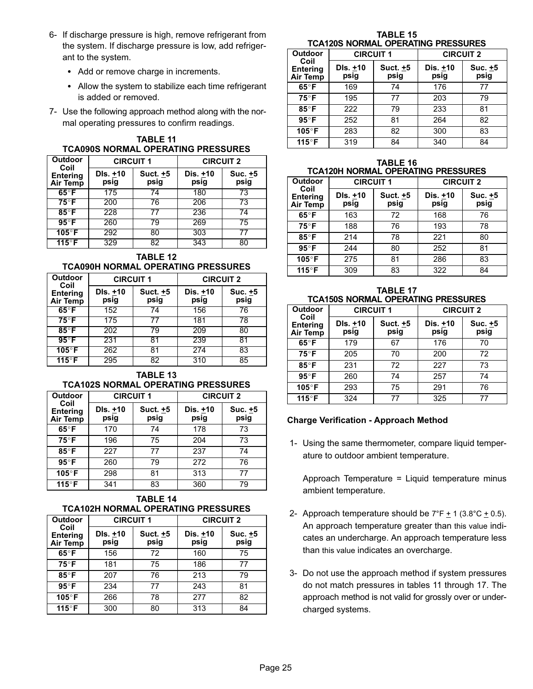- <span id="page-24-0"></span> 6− If discharge pressure is high, remove refrigerant from the system. If discharge pressure is low, add refrigerant to the system.
	- Add or remove charge in increments.
	- Allow the system to stabilize each time refrigerant is added or removed.
- 7− Use the following approach method along with the normal operating pressures to confirm readings.

|                 |                  | <b>TCA090S NORMAL OPERATING PRESSURES</b> |                  |         |
|-----------------|------------------|-------------------------------------------|------------------|---------|
| Outdoor<br>Coil | <b>CIRCUIT 1</b> |                                           | <b>CIRCUIT 2</b> |         |
| Entering        | $Dis. +10$       | Suct. $+5$                                | Dis. +10         | Suc. +5 |

TARI F 11

| <b>Entering</b><br>Air Temp | DIS. +10<br>psig | Suct. +5<br>psig | Dis. +10<br>psig | Suc. +5<br>psig |
|-----------------------------|------------------|------------------|------------------|-----------------|
| $65^{\circ}$ F              | 175              | 74               | 180              | 73              |
| $75^{\circ}$ F              | 200              | 76               | 206              | 73              |
| $85^\circ$ F                | 228              | 77               | 236              | 74              |
| $95^{\circ}$ F              | 260              | 79               | 269              | 75              |
| $105^\circ$ F               | 292              | 80               | 303              |                 |
| 115°F                       | 329              | 82               | 343              | 80              |

TABLE 12 TCA090H NORMAL OPERATING PRESSURES

| Outdoor<br>Coil                    |                  | <b>CIRCUIT 1</b> | <b>CIRCUIT 2</b> |                 |
|------------------------------------|------------------|------------------|------------------|-----------------|
| <b>Entering</b><br><b>Air Temp</b> | DIs. +10<br>psig | Suct. +5<br>psig | Dis. +10<br>psig | Suc. +5<br>psig |
| $65^{\circ}$ F                     | 152              | 74               | 156              | 76              |
| $75^\circ F$                       | 175              | 77               | 181              | 78              |
| $85^\circ$ F                       | 202              | 79               | 209              | 80              |
| $95^\circ F$                       | 231              | 81               | 239              | 81              |
| $105^\circ$ F                      | 262              | 81               | 274              | 83              |
| 115°F                              | 295              | 82               | 310              | 85              |

TABLE 13 TCA102S NORMAL OPERATING PRESSURES

| <b>Outdoor</b>                             | <b>CIRCUIT 1</b> |                  | <b>CIRCUIT 2</b>   |                 |
|--------------------------------------------|------------------|------------------|--------------------|-----------------|
| Coil<br><b>Entering</b><br><b>Air Temp</b> | DIs. +10<br>psig | Suct. +5<br>psig | Dis. $±10$<br>psig | Suc. +5<br>psig |
| $65^{\circ}$ F                             | 170              | 74               | 178                | 73              |
| $75^{\circ}$ F                             | 196              | 75               | 204                | 73              |
| $85^\circ$ F                               | 227              | 77               | 237                | 74              |
| $95^{\circ}$ F                             | 260              | 79               | 272                | 76              |
| 105°F                                      | 298              | 81               | 313                | 77              |
| 115°F                                      | 341              | 83               | 360                | 79              |

#### TABLE 14 TCA102H NORMAL OPERATING PRESSURES

| <b>Outdoor</b>                      | <b>CIRCUIT 1</b> |                  | <b>CIRCUIT 2</b> |                 |
|-------------------------------------|------------------|------------------|------------------|-----------------|
| Coil<br><b>Entering</b><br>Air Temp | DIs. +10<br>psig | Suct. +5<br>psig | Dis. +10<br>psig | Suc. +5<br>psig |
| $65^{\circ}$ F                      | 156              | 72               | 160              | 75              |
| $75^{\circ}$ F                      | 181              | 75               | 186              | 77              |
| $85^\circ$ F                        | 207              | 76               | 213              | 79              |
| $95^{\circ}$ F                      | 234              | 77               | 243              | 81              |
| 105°F                               | 266              | 78               | 277              | 82              |
| 115°F                               | 300              | 80               | 313              | 84              |

TABLE 15 TCA120S NORMAL OPERATING PRESSURES

| <b>Outdoor</b>                             | <b>CIRCUIT 1</b>   |                  | <b>CIRCUIT 2</b>   |                         |
|--------------------------------------------|--------------------|------------------|--------------------|-------------------------|
| Coil<br><b>Entering</b><br><b>Air Temp</b> | DIs. $±10$<br>psig | Suct. +5<br>psig | Dis. $±10$<br>psig | Suc. <u>+</u> 5<br>psig |
| $65^{\circ}$ F                             | 169                | 74               | 176                | 77                      |
| $75^\circ$ F                               | 195                | 77               | 203                | 79                      |
| $85^\circ$ F                               | 222                | 79               | 233                | 81                      |
| $95^\circ$ F                               | 252                | 81               | 264                | 82                      |
| 105°F                                      | 283                | 82               | 300                | 83                      |
| 115°F                                      | 319                | 84               | 340                | 84                      |

TABLE 16 TCA120H NORMAL OPERATING PRESSURES

| Outdoor                                    | <b>CIRCUIT 1</b> |                  | <b>CIRCUIT 2</b> |                 |
|--------------------------------------------|------------------|------------------|------------------|-----------------|
| Coil<br><b>Entering</b><br><b>Air Temp</b> | DIs. +10<br>psig | Suct. +5<br>psig | Dis. +10<br>psig | Suc. +5<br>psig |
| $65^{\circ}$ F                             | 163              | 72               | 168              | 76              |
| $75^\circ$ F                               | 188              | 76               | 193              | 78              |
| $85^\circ$ F                               | 214              | 78               | 221              | 80              |
| $95^\circ$ F                               | 244              | 80               | 252              | 81              |
| 105°F                                      | 275              | 81               | 286              | 83              |
| 115°F                                      | 309              | 83               | 322              | 84              |

TABLE 17 TCA150S NORMAL OPERATING PRESSURES

| Outdoor                                    | <b>CIRCUIT 1</b> |                  | <b>CIRCUIT 2</b> |                 |
|--------------------------------------------|------------------|------------------|------------------|-----------------|
| Coil<br><b>Entering</b><br><b>Air Temp</b> | DIs. +10<br>psig | Suct. +5<br>psig | Dis. +10<br>psig | Suc. +5<br>psig |
| $65^{\circ}$ F                             | 179              | 67               | 176              | 70              |
| $75^\circ$ F                               | 205              | 70               | 200              | 72              |
| $85^\circ$ F                               | 231              | 72               | 227              | 73              |
| $95^\circ$ F                               | 260              | 74               | 257              | 74              |
| 105°F                                      | 293              | 75               | 291              | 76              |
| 115°F                                      | 324              | 77               | 325              | 77              |

#### Charge Verification − Approach Method

 1− Using the same thermometer, compare liquid temperature to outdoor ambient temperature.

Approach Temperature = Liquid temperature minus ambient temperature.

- 2− Approach temperature should be 7°F  $±$  1 (3.8°C  $±$  0.5). An approach temperature greater than this value indicates an undercharge. An approach temperature less than this value indicates an overcharge.
- 3− Do not use the approach method if system pressures do not match pressures in tables 11 through 17. The approach method is not valid for grossly over or undercharged systems.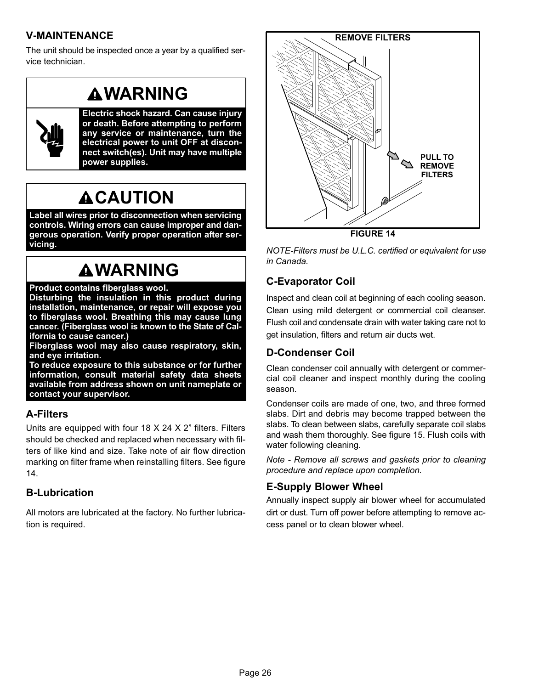# V−MAINTENANCE

The unit should be inspected once a year by a qualified service technician.

# **AWARNING**

![](_page_25_Picture_3.jpeg)

Electric shock hazard. Can cause injury or death. Before attempting to perform any service or maintenance, turn the electrical power to unit OFF at disconnect switch(es). Unit may have multiple power supplies.

# **ACAUTION**

Label all wires prior to disconnection when servicing controls. Wiring errors can cause improper and dangerous operation. Verify proper operation after servicing.

# **AWARNING**

#### Product contains fiberglass wool.

Disturbing the insulation in this product during installation, maintenance, or repair will expose you to fiberglass wool. Breathing this may cause lung cancer. (Fiberglass wool is known to the State of California to cause cancer.)

Fiberglass wool may also cause respiratory, skin, and eye irritation.

To reduce exposure to this substance or for further information, consult material safety data sheets available from address shown on unit nameplate or contact your supervisor.

## A−Filters

Units are equipped with four 18 X 24 X 2" filters. Filters should be checked and replaced when necessary with filters of like kind and size. Take note of air flow direction marking on filter frame when reinstalling filters. See figure 14.

## B−Lubrication

All motors are lubricated at the factory. No further lubrication is required.

![](_page_25_Figure_16.jpeg)

NOTE−Filters must be U.L.C. certified or equivalent for use in Canada.

# C−Evaporator Coil

Inspect and clean coil at beginning of each cooling season. Clean using mild detergent or commercial coil cleanser. Flush coil and condensate drain with water taking care not to get insulation, filters and return air ducts wet.

# D−Condenser Coil

Clean condenser coil annually with detergent or commercial coil cleaner and inspect monthly during the cooling season.

Condenser coils are made of one, two, and three formed slabs. Dirt and debris may become trapped between the slabs. To clean between slabs, carefully separate coil slabs and wash them thoroughly. See figure [15.](#page-26-0) Flush coils with water following cleaning.

Note − Remove all screws and gaskets prior to cleaning procedure and replace upon completion.

## E−Supply Blower Wheel

Annually inspect supply air blower wheel for accumulated dirt or dust. Turn off power before attempting to remove access panel or to clean blower wheel.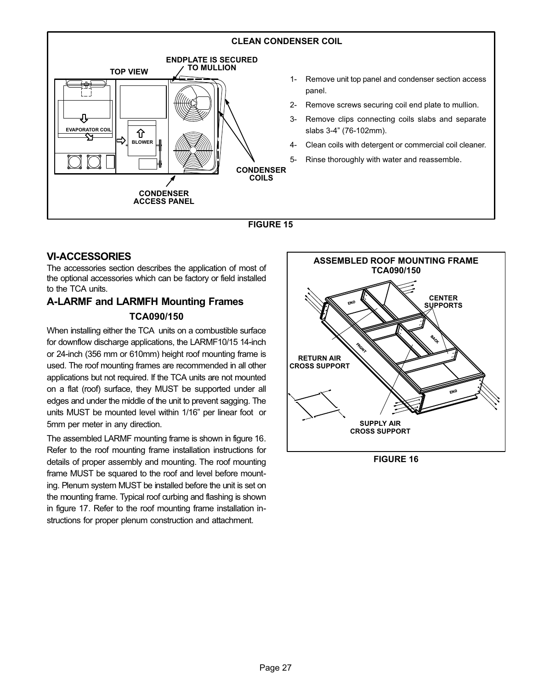<span id="page-26-0"></span>![](_page_26_Figure_0.jpeg)

![](_page_26_Figure_1.jpeg)

## VI−ACCESSORIES

The accessories section describes the application of most of the optional accessories which can be factory or field installed to the TCA units.

# A−LARMF and LARMFH Mounting Frames TCA090/150

When installing either the TCA units on a combustible surface for downflow discharge applications, the LARMF10/15 14-inch or 24-inch (356 mm or 610mm) height roof mounting frame is used. The roof mounting frames are recommended in all other applications but not required. If the TCA units are not mounted on a flat (roof) surface, they MUST be supported under all edges and under the middle of the unit to prevent sagging. The units MUST be mounted level within 1/16" per linear foot or 5mm per meter in any direction.

The assembled LARMF mounting frame is shown in figure 16. Refer to the roof mounting frame installation instructions for details of proper assembly and mounting. The roof mounting frame MUST be squared to the roof and level before mounting. Plenum system MUST be installed before the unit is set on the mounting frame. Typical roof curbing and flashing is shown in figure [17](#page-27-0). Refer to the roof mounting frame installation instructions for proper plenum construction and attachment.

![](_page_26_Figure_7.jpeg)

FIGURE 16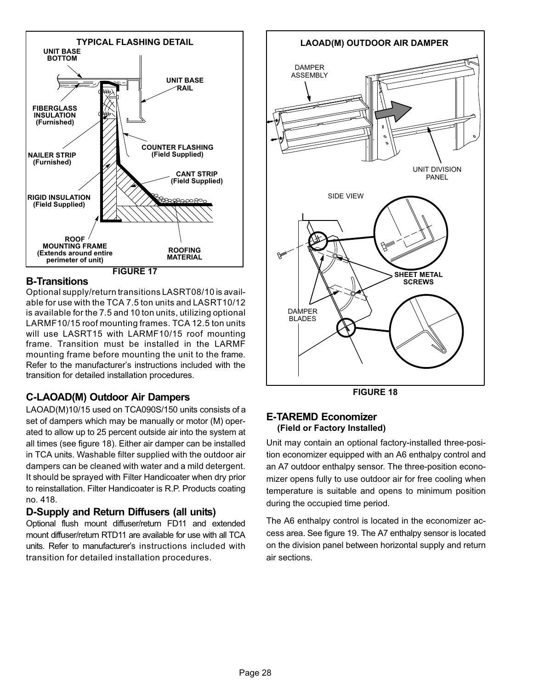<span id="page-27-0"></span>![](_page_27_Figure_0.jpeg)

## B−Transitions

Optional supply/return transitions LASRT08/10 is available for use with the TCA 7.5 ton units and LASRT10/12 is available for the 7.5 and 10 ton units, utilizing optional LARMF10/15 roof mounting frames. TCA 12.5 ton units will use LASRT15 with LARMF10/15 roof mounting frame. Transition must be installed in the LARMF mounting frame before mounting the unit to the frame. Refer to the manufacturer's instructions included with the transition for detailed installation procedures.

## C−LAOAD(M) Outdoor Air Dampers

LAOAD(M)10/15 used on TCA090S/150 units consists of a set of dampers which may be manually or motor (M) operated to allow up to 25 percent outside air into the system at all times (see figure 18). Either air damper can be installed in TCA units. Washable filter supplied with the outdoor air dampers can be cleaned with water and a mild detergent. It should be sprayed with Filter Handicoater when dry prior to reinstallation. Filter Handicoater is R.P. Products coating no. 418.

## D−Supply and Return Diffusers (all units)

Optional flush mount diffuser/return FD11 and extended mount diffuser/return RTD11 are available for use with all TCA units. Refer to manufacturer's instructions included with transition for detailed installation procedures.

![](_page_27_Figure_7.jpeg)

FIGURE 18

## E−TAREMD Economizer (Field or Factory Installed)

Unit may contain an optional factory−installed three−position economizer equipped with an A6 enthalpy control and an A7 outdoor enthalpy sensor. The three−position economizer opens fully to use outdoor air for free cooling when temperature is suitable and opens to minimum position during the occupied time period.

The A6 enthalpy control is located in the economizer access area. See figure [19](#page-28-0). The A7 enthalpy sensor is located on the division panel between horizontal supply and return air sections.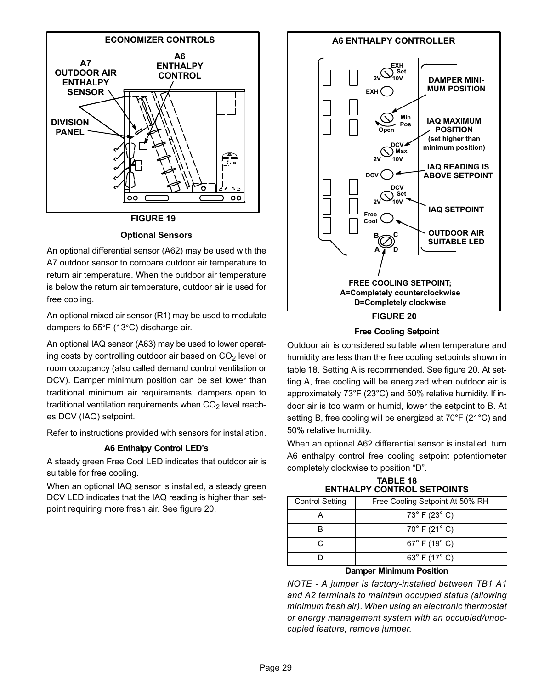<span id="page-28-0"></span>![](_page_28_Figure_0.jpeg)

Optional Sensors

An optional differential sensor (A62) may be used with the A7 outdoor sensor to compare outdoor air temperature to return air temperature. When the outdoor air temperature is below the return air temperature, outdoor air is used for free cooling.

An optional mixed air sensor (R1) may be used to modulate dampers to 55°F (13°C) discharge air.

An optional IAQ sensor (A63) may be used to lower operating costs by controlling outdoor air based on  $CO<sub>2</sub>$  level or room occupancy (also called demand control ventilation or DCV). Damper minimum position can be set lower than traditional minimum air requirements; dampers open to traditional ventilation requirements when  $CO<sub>2</sub>$  level reaches DCV (IAQ) setpoint.

Refer to instructions provided with sensors for installation.

#### A6 Enthalpy Control LED's

A steady green Free Cool LED indicates that outdoor air is suitable for free cooling.

When an optional IAQ sensor is installed, a steady green DCV LED indicates that the IAQ reading is higher than setpoint requiring more fresh air. See figure 20.

![](_page_28_Figure_9.jpeg)

Free Cooling Setpoint

Outdoor air is considered suitable when temperature and humidity are less than the free cooling setpoints shown in table 18. Setting A is recommended. See figure 20. At setting A, free cooling will be energized when outdoor air is approximately 73°F (23°C) and 50% relative humidity. If indoor air is too warm or humid, lower the setpoint to B. At setting B, free cooling will be energized at 70°F (21°C) and 50% relative humidity.

When an optional A62 differential sensor is installed, turn A6 enthalpy control free cooling setpoint potentiometer completely clockwise to position "D".

|                        | <u> 88888888888888888888888888</u> |
|------------------------|------------------------------------|
| <b>Control Setting</b> | Free Cooling Setpoint At 50% RH    |
|                        | $73^{\circ}$ F (23 $^{\circ}$ C)   |
|                        | $70^{\circ}$ F (21 $^{\circ}$ C)   |
| C.                     | $67^{\circ}$ F (19 $^{\circ}$ C)   |
|                        | 63 $^{\circ}$ F (17 $^{\circ}$ C)  |
|                        |                                    |

TABLE 18 ENTHALPY CONTROL SETPOINTS

#### Damper Minimum Position

NOTE − A jumper is factory−installed between TB1 A1 and A2 terminals to maintain occupied status (allowing minimum fresh air). When using an electronic thermostat or energy management system with an occupied/unoccupied feature, remove jumper.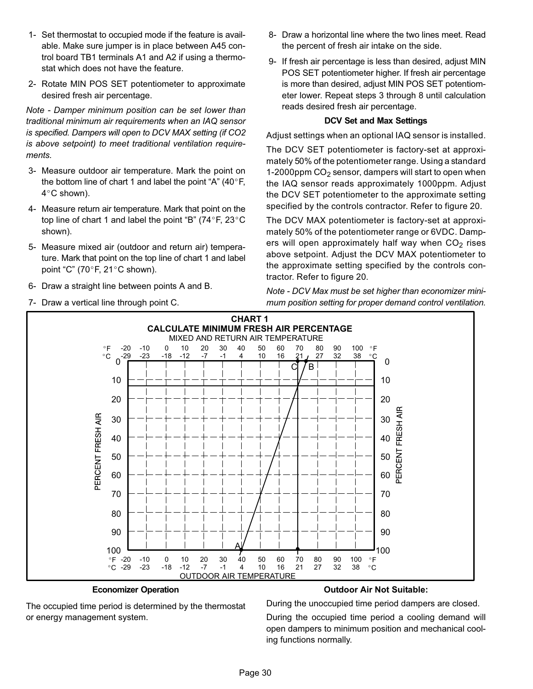- 1− Set thermostat to occupied mode if the feature is available. Make sure jumper is in place between A45 control board TB1 terminals A1 and A2 if using a thermostat which does not have the feature.
- 2− Rotate MIN POS SET potentiometer to approximate desired fresh air percentage.

Note − Damper minimum position can be set lower than traditional minimum air requirements when an IAQ sensor is specified. Dampers will open to DCV MAX setting (if CO2 is above setpoint) to meet traditional ventilation requirements.

- 3− Measure outdoor air temperature. Mark the point on the bottom line of chart 1 and label the point "A"  $(40^{\circ}F,$ 4°C shown).
- 4− Measure return air temperature. Mark that point on the top line of chart 1 and label the point "B" (74 $\degree$ F, 23 $\degree$ C shown).
- 5− Measure mixed air (outdoor and return air) temperature. Mark that point on the top line of chart 1 and label point "C" (70°F, 21°C shown).
- 6− Draw a straight line between points A and B.
- 7− Draw a vertical line through point C.
- 8− Draw a horizontal line where the two lines meet. Read the percent of fresh air intake on the side.
- 9- If fresh air percentage is less than desired, adjust MIN POS SET potentiometer higher. If fresh air percentage is more than desired, adjust MIN POS SET potentiometer lower. Repeat steps 3 through 8 until calculation reads desired fresh air percentage.

#### DCV Set and Max Settings

Adjust settings when an optional IAQ sensor is installed.

The DCV SET potentiometer is factory−set at approximately 50% of the potentiometer range. Using a standard 1-2000ppm CO<sub>2</sub> sensor, dampers will start to open when the IAQ sensor reads approximately 1000ppm. Adjust the DCV SET potentiometer to the approximate setting specified by the controls contractor. Refer to figure [20.](#page-28-0)

The DCV MAX potentiometer is factory−set at approximately 50% of the potentiometer range or 6VDC. Dampers will open approximately half way when  $CO<sub>2</sub>$  rises above setpoint. Adjust the DCV MAX potentiometer to the approximate setting specified by the controls contractor. Refer to figure [20.](#page-28-0)

Note − DCV Max must be set higher than economizer minimum position setting for proper demand control ventilation.

![](_page_29_Figure_15.jpeg)

#### Economizer Operation

#### Outdoor Air Not Suitable:

The occupied time period is determined by the thermostat or energy management system.

During the unoccupied time period dampers are closed.

During the occupied time period a cooling demand will open dampers to minimum position and mechanical cooling functions normally.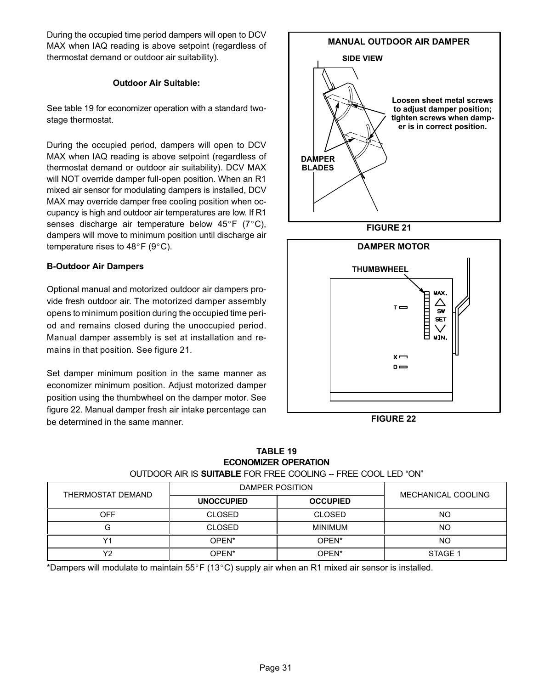During the occupied time period dampers will open to DCV MAX when IAQ reading is above setpoint (regardless of thermostat demand or outdoor air suitability).

#### Outdoor Air Suitable:

See table 19 for economizer operation with a standard two− stage thermostat.

During the occupied period, dampers will open to DCV MAX when IAQ reading is above setpoint (regardless of thermostat demand or outdoor air suitability). DCV MAX will NOT override damper full−open position. When an R1 mixed air sensor for modulating dampers is installed, DCV MAX may override damper free cooling position when occupancy is high and outdoor air temperatures are low. If R1 senses discharge air temperature below  $45^{\circ}$ F (7 $^{\circ}$ C), dampers will move to minimum position until discharge air temperature rises to  $48^{\circ}$ F (9 $^{\circ}$ C).

#### B−Outdoor Air Dampers

Optional manual and motorized outdoor air dampers provide fresh outdoor air. The motorized damper assembly opens to minimum position during the occupied time period and remains closed during the unoccupied period. Manual damper assembly is set at installation and remains in that position. See figure 21.

Set damper minimum position in the same manner as economizer minimum position. Adjust motorized damper position using the thumbwheel on the damper motor. See figure 22. Manual damper fresh air intake percentage can be determined in the same manner.

![](_page_30_Figure_7.jpeg)

FIGURE 22

 $x \rightleftharpoons$  $D \rightleftharpoons$ 

TABLE 19 ECONOMIZER OPERATION OUTDOOR AIR IS SUITABLE FOR FREE COOLING -- FREE COOL LED "ON"

| THERMOSTAT DEMAND    | DAMPER POSITION   |                   |                    |  |
|----------------------|-------------------|-------------------|--------------------|--|
|                      | <b>UNOCCUPIED</b> | <b>OCCUPIED</b>   | MECHANICAL COOLING |  |
| OFF                  | <b>CLOSED</b>     | <b>CLOSED</b>     | <b>NO</b>          |  |
|                      | <b>CLOSED</b>     | <b>MINIMUM</b>    | <b>NO</b>          |  |
| <b>17</b>            | OPEN*             | OPEN <sup>*</sup> | <b>NO</b>          |  |
| $\sqrt{ }$<br>$\sim$ | OPEN*             | OPEN <sup>*</sup> | STAGE 1            |  |

\*Dampers will modulate to maintain 55°F (13°C) supply air when an R1 mixed air sensor is installed.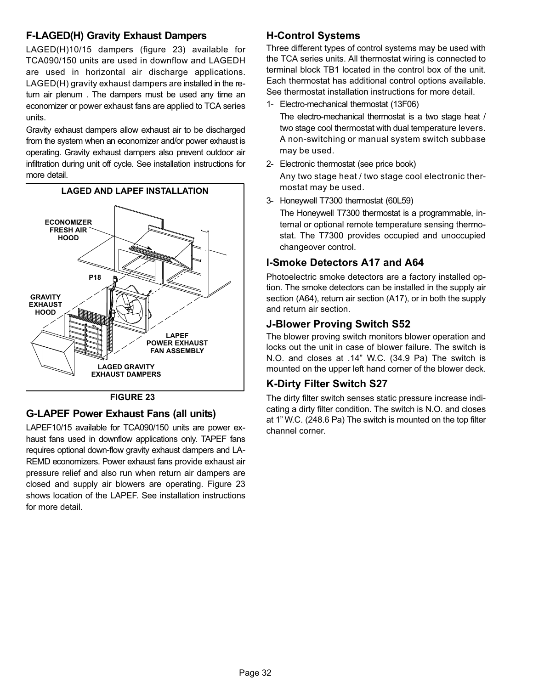## F−LAGED(H) Gravity Exhaust Dampers

LAGED(H)10/15 dampers (figure 23) available for TCA090/150 units are used in downflow and LAGEDH are used in horizontal air discharge applications. LAGED(H) gravity exhaust dampers are installed in the return air plenum . The dampers must be used any time an economizer or power exhaust fans are applied to TCA series units.

Gravity exhaust dampers allow exhaust air to be discharged from the system when an economizer and/or power exhaust is operating. Gravity exhaust dampers also prevent outdoor air infiltration during unit off cycle. See installation instructions for more detail.

![](_page_31_Figure_3.jpeg)

![](_page_31_Figure_4.jpeg)

## G−LAPEF Power Exhaust Fans (all units)

LAPEF10/15 available for TCA090/150 units are power exhaust fans used in downflow applications only. TAPEF fans requires optional down-flow gravity exhaust dampers and LA-REMD economizers. Power exhaust fans provide exhaust air pressure relief and also run when return air dampers are closed and supply air blowers are operating. Figure 23 shows location of the LAPEF. See installation instructions for more detail.

## H−Control Systems

Three different types of control systems may be used with the TCA series units. All thermostat wiring is connected to terminal block TB1 located in the control box of the unit. Each thermostat has additional control options available. See thermostat installation instructions for more detail.

1− Electro-mechanical thermostat (13F06)

The electro-mechanical thermostat is a two stage heat / two stage cool thermostat with dual temperature levers. A non-switching or manual system switch subbase may be used.

- 2− Electronic thermostat (see price book) Any two stage heat / two stage cool electronic thermostat may be used.
- 3− Honeywell T7300 thermostat (60L59)

The Honeywell T7300 thermostat is a programmable, internal or optional remote temperature sensing thermostat. The T7300 provides occupied and unoccupied changeover control.

## I−Smoke Detectors A17 and A64

Photoelectric smoke detectors are a factory installed option. The smoke detectors can be installed in the supply air section (A64), return air section (A17), or in both the supply and return air section.

## J−Blower Proving Switch S52

The blower proving switch monitors blower operation and locks out the unit in case of blower failure. The switch is N.O. and closes at .14" W.C. (34.9 Pa) The switch is mounted on the upper left hand corner of the blower deck.

## K−Dirty Filter Switch S27

The dirty filter switch senses static pressure increase indicating a dirty filter condition. The switch is N.O. and closes at 1" W.C. (248.6 Pa) The switch is mounted on the top filter channel corner.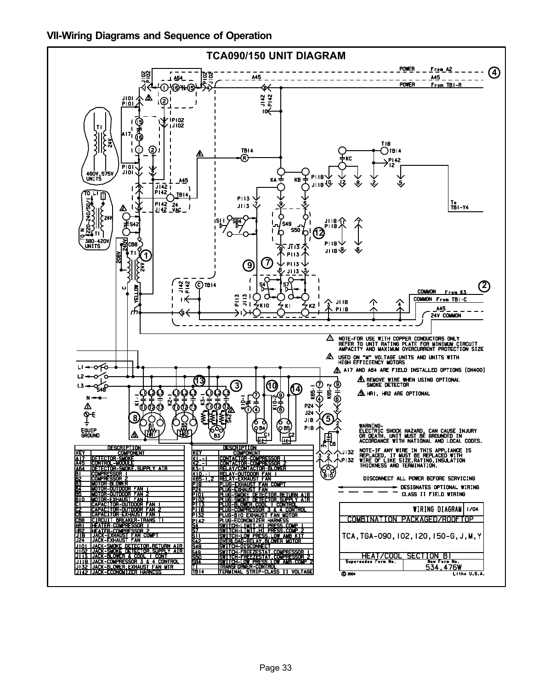![](_page_32_Figure_1.jpeg)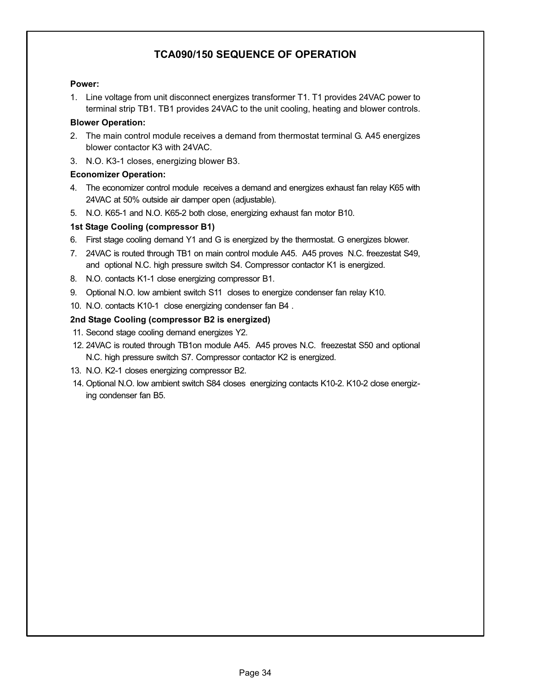## TCA090/150 SEQUENCE OF OPERATION

#### Power:

1. Line voltage from unit disconnect energizes transformer T1. T1 provides 24VAC power to terminal strip TB1. TB1 provides 24VAC to the unit cooling, heating and blower controls.

#### Blower Operation:

- 2. The main control module receives a demand from thermostat terminal G. A45 energizes blower contactor K3 with 24VAC.
- 3. N.O. K3−1 closes, energizing blower B3.

#### Economizer Operation:

- 4. The economizer control module receives a demand and energizes exhaust fan relay K65 with 24VAC at 50% outside air damper open (adjustable).
- 5. N.O. K65−1 and N.O. K65−2 both close, energizing exhaust fan motor B10.

### 1st Stage Cooling (compressor B1)

- 6. First stage cooling demand Y1 and G is energized by the thermostat. G energizes blower.
- 7. 24VAC is routed through TB1 on main control module A45. A45 proves N.C. freezestat S49, and optional N.C. high pressure switch S4. Compressor contactor K1 is energized.
- 8. N.O. contacts K1−1 close energizing compressor B1.
- 9. Optional N.O. low ambient switch S11 closes to energize condenser fan relay K10.
- 10. N.O. contacts K10−1 close energizing condenser fan B4 .

### 2nd Stage Cooling (compressor B2 is energized)

- 11. Second stage cooling demand energizes Y2.
- 12. 24VAC is routed through TB1on module A45. A45 proves N.C. freezestat S50 and optional N.C. high pressure switch S7. Compressor contactor K2 is energized.
- 13. N.O. K2−1 closes energizing compressor B2.
- 14. Optional N.O. low ambient switch S84 closes energizing contacts K10−2. K10−2 close energizing condenser fan B5.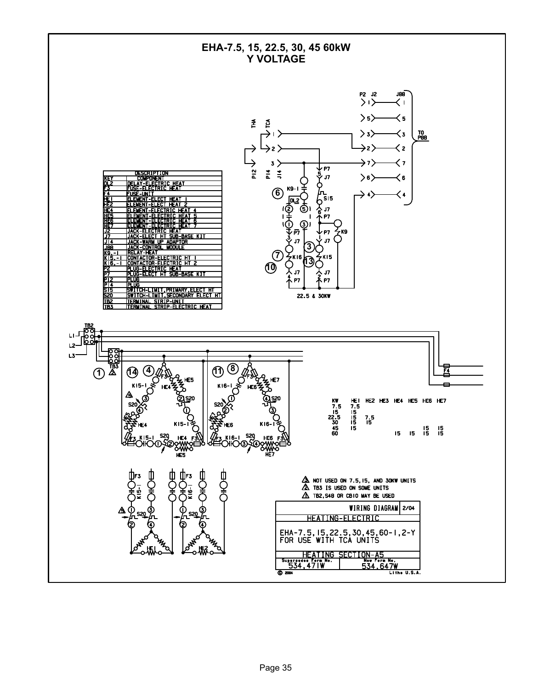![](_page_34_Figure_0.jpeg)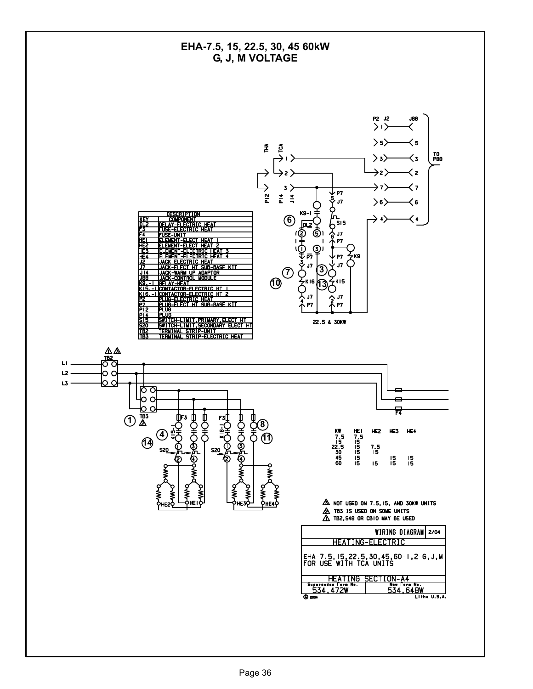![](_page_35_Figure_0.jpeg)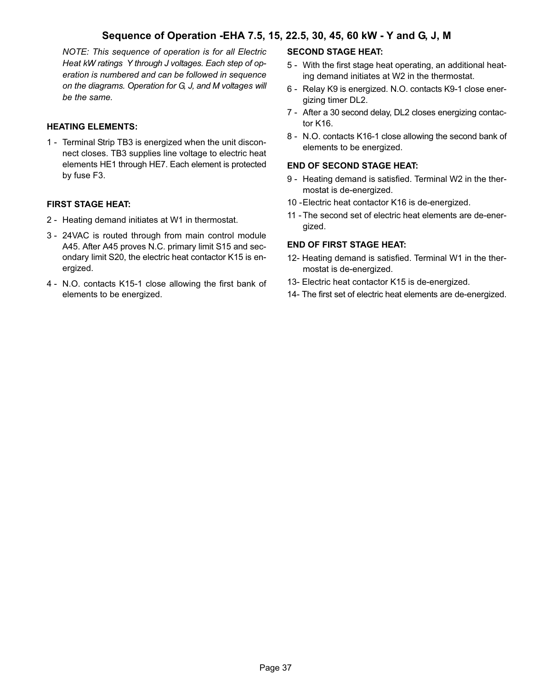## Sequence of Operation −EHA 7.5, 15, 22.5, 30, 45, 60 kW − Y and G, J, M

NOTE: This sequence of operation is for all Electric Heat kW ratings Y through J voltages. Each step of operation is numbered and can be followed in sequence on the diagrams. Operation for G, J, and M voltages will be the same.

#### HEATING ELEMENTS:

1 - Terminal Strip TB3 is energized when the unit disconnect closes. TB3 supplies line voltage to electric heat elements HE1 through HE7. Each element is protected by fuse F3.

#### FIRST STAGE HEAT:

- 2 Heating demand initiates at W1 in thermostat.
- 3 − 24VAC is routed through from main control module A45. After A45 proves N.C. primary limit S15 and secondary limit S20, the electric heat contactor K15 is energized.
- 4 − N.O. contacts K15−1 close allowing the first bank of elements to be energized.

#### SECOND STAGE HEAT:

- 5 − With the first stage heat operating, an additional heating demand initiates at W2 in the thermostat.
- 6 − Relay K9 is energized. N.O. contacts K9−1 close energizing timer DL2.
- 7 − After a 30 second delay, DL2 closes energizing contactor K16.
- 8 − N.O. contacts K16−1 close allowing the second bank of elements to be energized.

#### END OF SECOND STAGE HEAT:

- 9 Heating demand is satisfied. Terminal W2 in the thermostat is de−energized.
- 10 −Electric heat contactor K16 is de−energized.
- 11 − The second set of electric heat elements are de−energized.

#### END OF FIRST STAGE HEAT:

- 12− Heating demand is satisfied. Terminal W1 in the thermostat is de−energized.
- 13− Electric heat contactor K15 is de−energized.
- 14− The first set of electric heat elements are de−energized.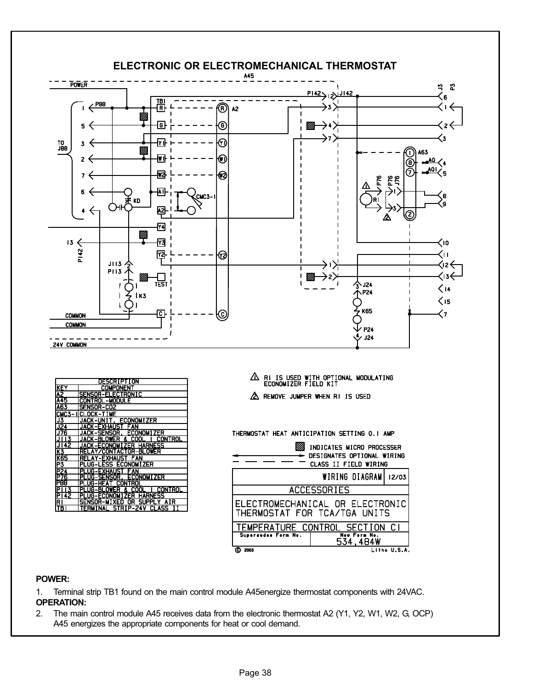![](_page_37_Figure_0.jpeg)

| DESCRIPTION     |                                                                                                  |  |  |
|-----------------|--------------------------------------------------------------------------------------------------|--|--|
| <b>IKEY</b>     | <b>COMPONENT</b>                                                                                 |  |  |
| A2              | SENSOR-ELECTRONIC                                                                                |  |  |
| <b>A45</b>      | CONTROL-MODULE                                                                                   |  |  |
| <b>A63</b>      | <b>ISENSOR-CO2</b>                                                                               |  |  |
|                 | ICMC3-IICLOCK-TIME                                                                               |  |  |
| J3              | JACK-UNIT, ECONOMIZER                                                                            |  |  |
| J <sub>24</sub> | JACK-EXHAUST FAN                                                                                 |  |  |
| J76             | JACK-SENSOR, ECONOMIZER                                                                          |  |  |
| IJ I 13         | <b>CONTROL</b><br><b>IJACK-BLOWER &amp; COOL</b>                                                 |  |  |
| J142            | <b>JACK-ECONOMIZER HARNESS</b>                                                                   |  |  |
| ĪΚ3             | RELAY/CONTACTOR-BLOWER                                                                           |  |  |
| <b>K65</b>      | <b>RELAY-EXHAUST FAN</b>                                                                         |  |  |
| ĪΡ3             | PLUG-LESS ECONOMIZER                                                                             |  |  |
| P24             | IPLUG-EXHAUST FAN                                                                                |  |  |
| IP76            | PLUG-SENSOR, ECONOMIZER                                                                          |  |  |
| P88             | PLUG-HEAT CONTROL                                                                                |  |  |
| P13             | IPLUG-BLOWER & COOL<br><b>CONTROL</b>                                                            |  |  |
| PI42            | <b>IPLUG-ECONOMIZER</b><br><b>HARNESS</b>                                                        |  |  |
| RI<br>l TR I    | SUPI<br><b>SENSOR-MIXED</b><br>0R.<br>PI.<br>AIR<br>STRIP-24V<br><b>GLASS</b><br><b>TFRMTNAI</b> |  |  |
|                 |                                                                                                  |  |  |

 $\triangle$  RI IS USED WITH OPTIONAL MODULATING<br>ECONOMIZER FIELD KIT A REMOVE JUMPER WHEN RI IS USED

THERMOSTAT HEAT ANTICIPATION SETTING O.I AMP

| INDICATES MICRO PROCESSER<br>DESIGNATES OPTIONAL WIRING<br><b>CLASS II FIELD WIRING</b> |                          |              |  |
|-----------------------------------------------------------------------------------------|--------------------------|--------------|--|
|                                                                                         | WIRING DIAGRAM 12/03     |              |  |
| <b>ACCESSORIES</b>                                                                      |                          |              |  |
| ELECTROMECHANICAL OR ELECTRONIC<br>THERMOSTAT FOR TCA/TGA UNITS                         |                          |              |  |
| TEMPERATURE CONTROL SECTION CI                                                          |                          |              |  |
| Supersedes Form No.                                                                     | New Form No.<br>534.484W |              |  |
| 2003                                                                                    |                          | Litho U.S.A. |  |

#### POWER:

1. Terminal strip TB1 found on the main control module A45energize thermostat components with 24VAC. OPERATION:

2. The main control module A45 receives data from the electronic thermostat A2 (Y1, Y2, W1, W2, G, OCP) A45 energizes the appropriate components for heat or cool demand.